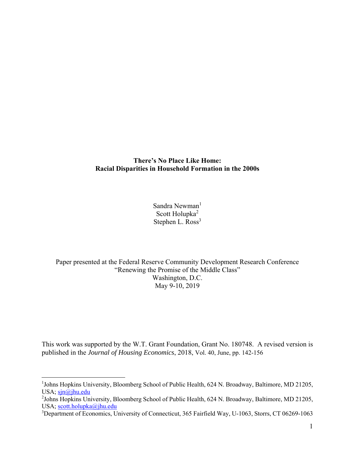**There's No Place Like Home: Racial Disparities in Household Formation in the 2000s** 

> Sandra Newman<sup>1</sup> Scott Holupka<sup>2</sup> Stephen L. Ross<sup>3</sup>

Paper presented at the Federal Reserve Community Development Research Conference "Renewing the Promise of the Middle Class" Washington, D.C. May 9-10, 2019

This work was supported by the W.T. Grant Foundation, Grant No. 180748. A revised version is published in the *Journal of Housing Economics*, 2018, Vol. 40, June, pp. 142-156

 $\overline{a}$ 

<sup>&</sup>lt;sup>1</sup>Johns Hopkins University, Bloomberg School of Public Health, 624 N. Broadway, Baltimore, MD 21205, USA;  $\frac{\sin(\alpha)}{\sin(\alpha)}$ jhu.edu

<sup>&</sup>lt;sup>2</sup>Johns Hopkins University, Bloomberg School of Public Health, 624 N. Broadway, Baltimore, MD 21205, USA; scott.holupka@jhu.edu

<sup>&</sup>lt;sup>3</sup>Department of Economics, University of Connecticut, 365 Fairfield Way, U-1063, Storrs, CT 06269-1063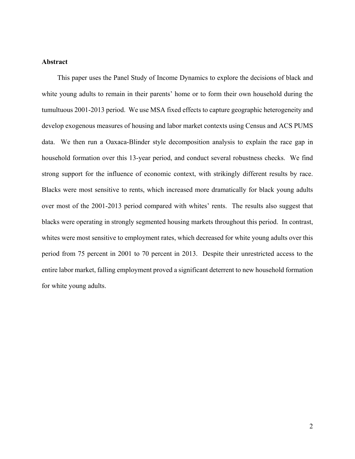# **Abstract**

 This paper uses the Panel Study of Income Dynamics to explore the decisions of black and white young adults to remain in their parents' home or to form their own household during the tumultuous 2001-2013 period. We use MSA fixed effects to capture geographic heterogeneity and develop exogenous measures of housing and labor market contexts using Census and ACS PUMS data. We then run a Oaxaca-Blinder style decomposition analysis to explain the race gap in household formation over this 13-year period, and conduct several robustness checks. We find strong support for the influence of economic context, with strikingly different results by race. Blacks were most sensitive to rents, which increased more dramatically for black young adults over most of the 2001-2013 period compared with whites' rents. The results also suggest that blacks were operating in strongly segmented housing markets throughout this period. In contrast, whites were most sensitive to employment rates, which decreased for white young adults over this period from 75 percent in 2001 to 70 percent in 2013. Despite their unrestricted access to the entire labor market, falling employment proved a significant deterrent to new household formation for white young adults.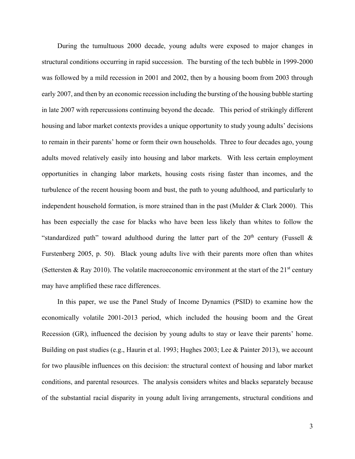During the tumultuous 2000 decade, young adults were exposed to major changes in structural conditions occurring in rapid succession. The bursting of the tech bubble in 1999-2000 was followed by a mild recession in 2001 and 2002, then by a housing boom from 2003 through early 2007, and then by an economic recession including the bursting of the housing bubble starting in late 2007 with repercussions continuing beyond the decade. This period of strikingly different housing and labor market contexts provides a unique opportunity to study young adults' decisions to remain in their parents' home or form their own households. Three to four decades ago, young adults moved relatively easily into housing and labor markets. With less certain employment opportunities in changing labor markets, housing costs rising faster than incomes, and the turbulence of the recent housing boom and bust, the path to young adulthood, and particularly to independent household formation, is more strained than in the past (Mulder & Clark 2000). This has been especially the case for blacks who have been less likely than whites to follow the "standardized path" toward adulthood during the latter part of the  $20<sup>th</sup>$  century (Fussell & Furstenberg 2005, p. 50). Black young adults live with their parents more often than whites (Settersten & Ray 2010). The volatile macroeconomic environment at the start of the 21<sup>st</sup> century may have amplified these race differences.

 In this paper, we use the Panel Study of Income Dynamics (PSID) to examine how the economically volatile 2001-2013 period, which included the housing boom and the Great Recession (GR), influenced the decision by young adults to stay or leave their parents' home. Building on past studies (e.g., Haurin et al. 1993; Hughes 2003; Lee & Painter 2013), we account for two plausible influences on this decision: the structural context of housing and labor market conditions, and parental resources. The analysis considers whites and blacks separately because of the substantial racial disparity in young adult living arrangements, structural conditions and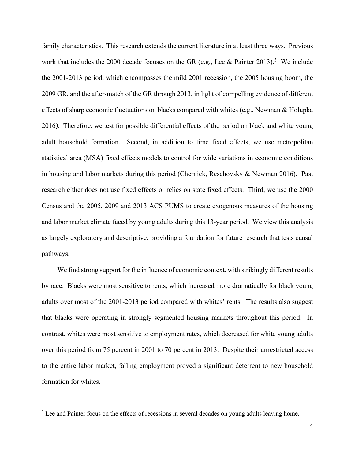family characteristics. This research extends the current literature in at least three ways. Previous work that includes the 2000 decade focuses on the GR (e.g., Lee & Painter 2013).<sup>3</sup> We include the 2001-2013 period, which encompasses the mild 2001 recession, the 2005 housing boom, the 2009 GR, and the after-match of the GR through 2013, in light of compelling evidence of different effects of sharp economic fluctuations on blacks compared with whites (e.g., Newman & Holupka 2016*)*. Therefore, we test for possible differential effects of the period on black and white young adult household formation. Second, in addition to time fixed effects, we use metropolitan statistical area (MSA) fixed effects models to control for wide variations in economic conditions in housing and labor markets during this period (Chernick, Reschovsky & Newman 2016). Past research either does not use fixed effects or relies on state fixed effects. Third, we use the 2000 Census and the 2005, 2009 and 2013 ACS PUMS to create exogenous measures of the housing and labor market climate faced by young adults during this 13-year period. We view this analysis as largely exploratory and descriptive, providing a foundation for future research that tests causal pathways.

 We find strong support for the influence of economic context, with strikingly different results by race. Blacks were most sensitive to rents, which increased more dramatically for black young adults over most of the 2001-2013 period compared with whites' rents. The results also suggest that blacks were operating in strongly segmented housing markets throughout this period. In contrast, whites were most sensitive to employment rates, which decreased for white young adults over this period from 75 percent in 2001 to 70 percent in 2013. Despite their unrestricted access to the entire labor market, falling employment proved a significant deterrent to new household formation for whites.

 $\overline{a}$ 

 $3$  Lee and Painter focus on the effects of recessions in several decades on young adults leaving home.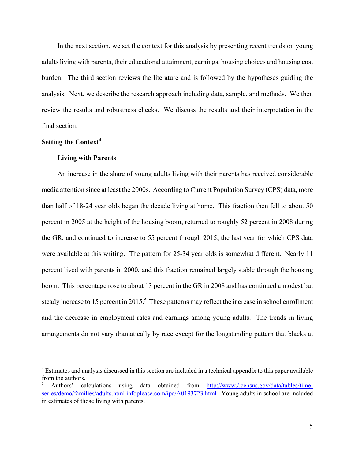In the next section, we set the context for this analysis by presenting recent trends on young adults living with parents, their educational attainment, earnings, housing choices and housing cost burden. The third section reviews the literature and is followed by the hypotheses guiding the analysis. Next, we describe the research approach including data, sample, and methods. We then review the results and robustness checks. We discuss the results and their interpretation in the final section.

# **Setting the Context**<sup>4</sup>

 $\overline{a}$ 

### **Living with Parents**

An increase in the share of young adults living with their parents has received considerable media attention since at least the 2000s. According to Current Population Survey (CPS) data, more than half of 18-24 year olds began the decade living at home. This fraction then fell to about 50 percent in 2005 at the height of the housing boom, returned to roughly 52 percent in 2008 during the GR, and continued to increase to 55 percent through 2015, the last year for which CPS data were available at this writing. The pattern for 25-34 year olds is somewhat different. Nearly 11 percent lived with parents in 2000, and this fraction remained largely stable through the housing boom. This percentage rose to about 13 percent in the GR in 2008 and has continued a modest but steady increase to 15 percent in 2015.<sup>5</sup> These patterns may reflect the increase in school enrollment and the decrease in employment rates and earnings among young adults. The trends in living arrangements do not vary dramatically by race except for the longstanding pattern that blacks at

<sup>&</sup>lt;sup>4</sup> Estimates and analysis discussed in this section are included in a technical appendix to this paper available from the authors.

<sup>5</sup> Authors' calculations using data obtained from http://www./.census.gov/data/tables/timeseries/demo/families/adults.html infoplease.com/ipa/A0193723.html Young adults in school are included in estimates of those living with parents.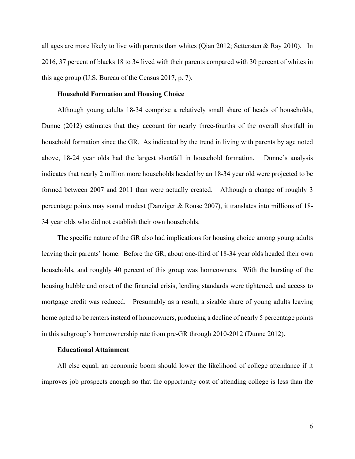all ages are more likely to live with parents than whites (Qian 2012; Settersten & Ray 2010). In 2016, 37 percent of blacks 18 to 34 lived with their parents compared with 30 percent of whites in this age group (U.S. Bureau of the Census 2017, p. 7).

### **Household Formation and Housing Choice**

Although young adults 18-34 comprise a relatively small share of heads of households, Dunne (2012) estimates that they account for nearly three-fourths of the overall shortfall in household formation since the GR. As indicated by the trend in living with parents by age noted above, 18-24 year olds had the largest shortfall in household formation. Dunne's analysis indicates that nearly 2 million more households headed by an 18-34 year old were projected to be formed between 2007 and 2011 than were actually created. Although a change of roughly 3 percentage points may sound modest (Danziger & Rouse 2007), it translates into millions of 18- 34 year olds who did not establish their own households.

 The specific nature of the GR also had implications for housing choice among young adults leaving their parents' home. Before the GR, about one-third of 18-34 year olds headed their own households, and roughly 40 percent of this group was homeowners. With the bursting of the housing bubble and onset of the financial crisis, lending standards were tightened, and access to mortgage credit was reduced. Presumably as a result, a sizable share of young adults leaving home opted to be renters instead of homeowners, producing a decline of nearly 5 percentage points in this subgroup's homeownership rate from pre-GR through 2010-2012 (Dunne 2012).

#### **Educational Attainment**

All else equal, an economic boom should lower the likelihood of college attendance if it improves job prospects enough so that the opportunity cost of attending college is less than the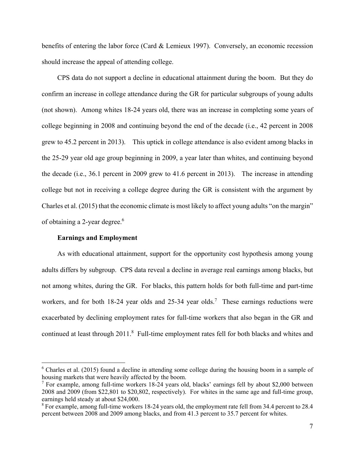benefits of entering the labor force (Card & Lemieux 1997). Conversely, an economic recession should increase the appeal of attending college.

 CPS data do not support a decline in educational attainment during the boom. But they do confirm an increase in college attendance during the GR for particular subgroups of young adults (not shown). Among whites 18-24 years old, there was an increase in completing some years of college beginning in 2008 and continuing beyond the end of the decade (i.e., 42 percent in 2008 grew to 45.2 percent in 2013). This uptick in college attendance is also evident among blacks in the 25-29 year old age group beginning in 2009, a year later than whites, and continuing beyond the decade (i.e., 36.1 percent in 2009 grew to 41.6 percent in 2013). The increase in attending college but not in receiving a college degree during the GR is consistent with the argument by Charles et al. (2015) that the economic climate is most likely to affect young adults "on the margin" of obtaining a 2-year degree.<sup>6</sup>

### **Earnings and Employment**

1

 As with educational attainment, support for the opportunity cost hypothesis among young adults differs by subgroup. CPS data reveal a decline in average real earnings among blacks, but not among whites, during the GR. For blacks, this pattern holds for both full-time and part-time workers, and for both 18-24 year olds and 25-34 year olds.<sup>7</sup> These earnings reductions were exacerbated by declining employment rates for full-time workers that also began in the GR and continued at least through 2011.<sup>8</sup> Full-time employment rates fell for both blacks and whites and

 $6$  Charles et al. (2015) found a decline in attending some college during the housing boom in a sample of housing markets that were heavily affected by the boom.

<sup>&</sup>lt;sup>7</sup> For example, among full-time workers 18-24 years old, blacks' earnings fell by about \$2,000 between 2008 and 2009 (from \$22,801 to \$20,802, respectively). For whites in the same age and full-time group, earnings held steady at about \$24,000.

 $8$  For example, among full-time workers 18-24 years old, the employment rate fell from 34.4 percent to 28.4 percent between 2008 and 2009 among blacks, and from 41.3 percent to 35.7 percent for whites.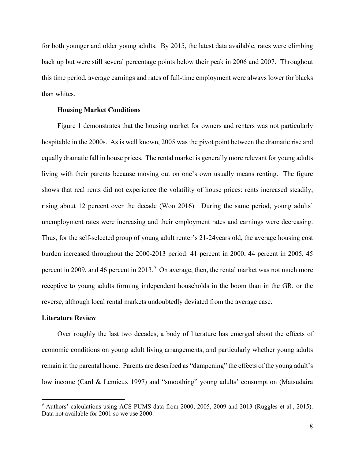for both younger and older young adults. By 2015, the latest data available, rates were climbing back up but were still several percentage points below their peak in 2006 and 2007. Throughout this time period, average earnings and rates of full-time employment were always lower for blacks than whites.

### **Housing Market Conditions**

 Figure 1 demonstrates that the housing market for owners and renters was not particularly hospitable in the 2000s. As is well known, 2005 was the pivot point between the dramatic rise and equally dramatic fall in house prices. The rental market is generally more relevant for young adults living with their parents because moving out on one's own usually means renting. The figure shows that real rents did not experience the volatility of house prices: rents increased steadily, rising about 12 percent over the decade (Woo 2016). During the same period, young adults' unemployment rates were increasing and their employment rates and earnings were decreasing. Thus, for the self-selected group of young adult renter's 21-24years old, the average housing cost burden increased throughout the 2000-2013 period: 41 percent in 2000, 44 percent in 2005, 45 percent in 2009, and 46 percent in 2013. $9$  On average, then, the rental market was not much more receptive to young adults forming independent households in the boom than in the GR, or the reverse, although local rental markets undoubtedly deviated from the average case.

### **Literature Review**

 $\overline{a}$ 

 Over roughly the last two decades, a body of literature has emerged about the effects of economic conditions on young adult living arrangements, and particularly whether young adults remain in the parental home. Parents are described as "dampening" the effects of the young adult's low income (Card & Lemieux 1997) and "smoothing" young adults' consumption (Matsudaira

<sup>&</sup>lt;sup>9</sup> Authors' calculations using ACS PUMS data from 2000, 2005, 2009 and 2013 (Ruggles et al., 2015). Data not available for 2001 so we use 2000.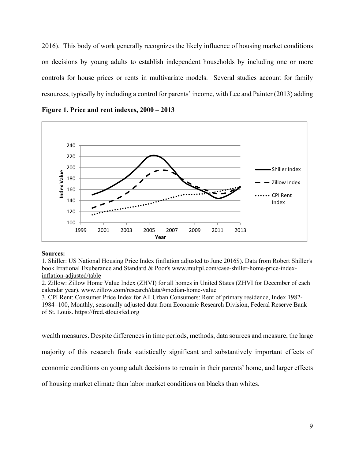2016). This body of work generally recognizes the likely influence of housing market conditions on decisions by young adults to establish independent households by including one or more controls for house prices or rents in multivariate models. Several studies account for family resources, typically by including a control for parents' income, with Lee and Painter (2013) adding

**Figure 1. Price and rent indexes, 2000 – 2013** 



#### **Sources:**

1. Shiller: US National Housing Price Index (inflation adjusted to June 2016\$). Data from Robert Shiller's book Irrational Exuberance and Standard & Poor's www.multpl.com/case-shiller-home-price-indexinflation-adjusted/table

2. Zillow: Zillow Home Value Index (ZHVI) for all homes in United States (ZHVI for December of each calendar year). www.zillow.com/research/data/#median-home-value

3. CPI Rent: Consumer Price Index for All Urban Consumers: Rent of primary residence, Index 1982- 1984=100, Monthly, seasonally adjusted data from Economic Research Division, Federal Reserve Bank of St. Louis. https://fred.stlouisfed.org

wealth measures. Despite differences in time periods, methods, data sources and measure, the large majority of this research finds statistically significant and substantively important effects of economic conditions on young adult decisions to remain in their parents' home, and larger effects

of housing market climate than labor market conditions on blacks than whites.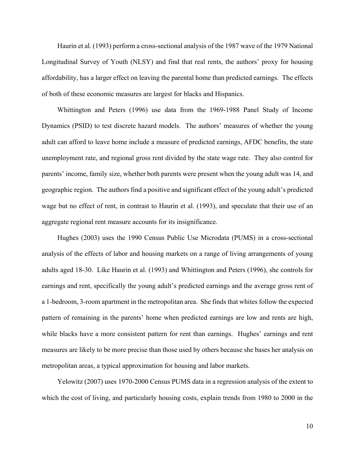Haurin et al. (1993) perform a cross-sectional analysis of the 1987 wave of the 1979 National Longitudinal Survey of Youth (NLSY) and find that real rents, the authors' proxy for housing affordability, has a larger effect on leaving the parental home than predicted earnings. The effects of both of these economic measures are largest for blacks and Hispanics.

 Whittington and Peters (1996) use data from the 1969-1988 Panel Study of Income Dynamics (PSID) to test discrete hazard models. The authors' measures of whether the young adult can afford to leave home include a measure of predicted earnings, AFDC benefits, the state unemployment rate, and regional gross rent divided by the state wage rate. They also control for parents' income, family size, whether both parents were present when the young adult was 14, and geographic region. The authors find a positive and significant effect of the young adult's predicted wage but no effect of rent, in contrast to Haurin et al. (1993), and speculate that their use of an aggregate regional rent measure accounts for its insignificance.

 Hughes (2003) uses the 1990 Census Public Use Microdata (PUMS) in a cross-sectional analysis of the effects of labor and housing markets on a range of living arrangements of young adults aged 18-30. Like Haurin et al. (1993) and Whittington and Peters (1996), she controls for earnings and rent, specifically the young adult's predicted earnings and the average gross rent of a 1-bedroom, 3-room apartment in the metropolitan area. She finds that whites follow the expected pattern of remaining in the parents' home when predicted earnings are low and rents are high, while blacks have a more consistent pattern for rent than earnings. Hughes' earnings and rent measures are likely to be more precise than those used by others because she bases her analysis on metropolitan areas, a typical approximation for housing and labor markets.

 Yelowitz (2007) uses 1970-2000 Census PUMS data in a regression analysis of the extent to which the cost of living, and particularly housing costs, explain trends from 1980 to 2000 in the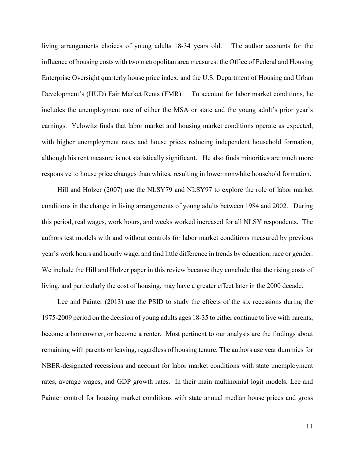living arrangements choices of young adults 18-34 years old. The author accounts for the influence of housing costs with two metropolitan area measures: the Office of Federal and Housing Enterprise Oversight quarterly house price index, and the U.S. Department of Housing and Urban Development's (HUD) Fair Market Rents (FMR). To account for labor market conditions, he includes the unemployment rate of either the MSA or state and the young adult's prior year's earnings. Yelowitz finds that labor market and housing market conditions operate as expected, with higher unemployment rates and house prices reducing independent household formation, although his rent measure is not statistically significant. He also finds minorities are much more responsive to house price changes than whites, resulting in lower nonwhite household formation.

 Hill and Holzer (2007) use the NLSY79 and NLSY97 to explore the role of labor market conditions in the change in living arrangements of young adults between 1984 and 2002. During this period, real wages, work hours, and weeks worked increased for all NLSY respondents. The authors test models with and without controls for labor market conditions measured by previous year's work hours and hourly wage, and find little difference in trends by education, race or gender. We include the Hill and Holzer paper in this review because they conclude that the rising costs of living, and particularly the cost of housing, may have a greater effect later in the 2000 decade.

 Lee and Painter (2013) use the PSID to study the effects of the six recessions during the 1975-2009 period on the decision of young adults ages 18-35 to either continue to live with parents, become a homeowner, or become a renter. Most pertinent to our analysis are the findings about remaining with parents or leaving, regardless of housing tenure. The authors use year dummies for NBER-designated recessions and account for labor market conditions with state unemployment rates, average wages, and GDP growth rates. In their main multinomial logit models, Lee and Painter control for housing market conditions with state annual median house prices and gross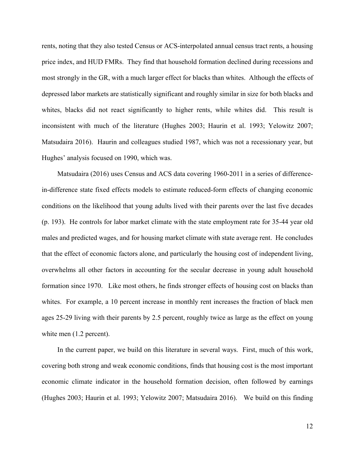rents, noting that they also tested Census or ACS-interpolated annual census tract rents, a housing price index, and HUD FMRs. They find that household formation declined during recessions and most strongly in the GR, with a much larger effect for blacks than whites. Although the effects of depressed labor markets are statistically significant and roughly similar in size for both blacks and whites, blacks did not react significantly to higher rents, while whites did. This result is inconsistent with much of the literature (Hughes 2003; Haurin et al. 1993; Yelowitz 2007; Matsudaira 2016). Haurin and colleagues studied 1987, which was not a recessionary year, but Hughes' analysis focused on 1990, which was.

 Matsudaira (2016) uses Census and ACS data covering 1960-2011 in a series of differencein-difference state fixed effects models to estimate reduced-form effects of changing economic conditions on the likelihood that young adults lived with their parents over the last five decades (p. 193). He controls for labor market climate with the state employment rate for 35-44 year old males and predicted wages, and for housing market climate with state average rent. He concludes that the effect of economic factors alone, and particularly the housing cost of independent living, overwhelms all other factors in accounting for the secular decrease in young adult household formation since 1970. Like most others, he finds stronger effects of housing cost on blacks than whites. For example, a 10 percent increase in monthly rent increases the fraction of black men ages 25-29 living with their parents by 2.5 percent, roughly twice as large as the effect on young white men  $(1.2$  percent).

 In the current paper, we build on this literature in several ways. First, much of this work, covering both strong and weak economic conditions, finds that housing cost is the most important economic climate indicator in the household formation decision, often followed by earnings (Hughes 2003; Haurin et al. 1993; Yelowitz 2007; Matsudaira 2016). We build on this finding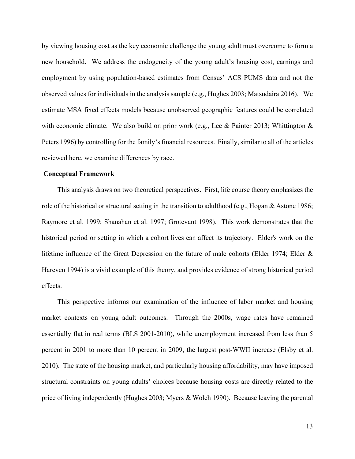by viewing housing cost as the key economic challenge the young adult must overcome to form a new household. We address the endogeneity of the young adult's housing cost, earnings and employment by using population-based estimates from Census' ACS PUMS data and not the observed values for individuals in the analysis sample (e.g., Hughes 2003; Matsudaira 2016). We estimate MSA fixed effects models because unobserved geographic features could be correlated with economic climate. We also build on prior work (e.g., Lee & Painter 2013; Whittington & Peters 1996) by controlling for the family's financial resources. Finally, similar to all of the articles reviewed here, we examine differences by race.

### **Conceptual Framework**

This analysis draws on two theoretical perspectives. First, life course theory emphasizes the role of the historical or structural setting in the transition to adulthood (e.g., Hogan & Astone 1986; Raymore et al. 1999; Shanahan et al. 1997; Grotevant 1998). This work demonstrates that the historical period or setting in which a cohort lives can affect its trajectory. Elder's work on the lifetime influence of the Great Depression on the future of male cohorts (Elder 1974; Elder & Hareven 1994) is a vivid example of this theory, and provides evidence of strong historical period effects.

 This perspective informs our examination of the influence of labor market and housing market contexts on young adult outcomes. Through the 2000s, wage rates have remained essentially flat in real terms (BLS 2001-2010), while unemployment increased from less than 5 percent in 2001 to more than 10 percent in 2009, the largest post-WWII increase (Elsby et al. 2010). The state of the housing market, and particularly housing affordability, may have imposed structural constraints on young adults' choices because housing costs are directly related to the price of living independently (Hughes 2003; Myers & Wolch 1990). Because leaving the parental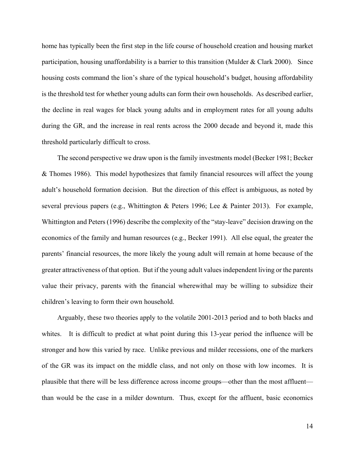home has typically been the first step in the life course of household creation and housing market participation, housing unaffordability is a barrier to this transition (Mulder & Clark 2000). Since housing costs command the lion's share of the typical household's budget, housing affordability is the threshold test for whether young adults can form their own households. As described earlier, the decline in real wages for black young adults and in employment rates for all young adults during the GR, and the increase in real rents across the 2000 decade and beyond it, made this threshold particularly difficult to cross.

 The second perspective we draw upon is the family investments model (Becker 1981; Becker & Thomes 1986). This model hypothesizes that family financial resources will affect the young adult's household formation decision. But the direction of this effect is ambiguous, as noted by several previous papers (e.g., Whittington & Peters 1996; Lee & Painter 2013). For example, Whittington and Peters (1996) describe the complexity of the "stay-leave" decision drawing on the economics of the family and human resources (e.g., Becker 1991). All else equal, the greater the parents' financial resources, the more likely the young adult will remain at home because of the greater attractiveness of that option. But if the young adult values independent living or the parents value their privacy, parents with the financial wherewithal may be willing to subsidize their children's leaving to form their own household.

 Arguably, these two theories apply to the volatile 2001-2013 period and to both blacks and whites. It is difficult to predict at what point during this 13-year period the influence will be stronger and how this varied by race. Unlike previous and milder recessions, one of the markers of the GR was its impact on the middle class, and not only on those with low incomes. It is plausible that there will be less difference across income groups—other than the most affluent than would be the case in a milder downturn. Thus, except for the affluent, basic economics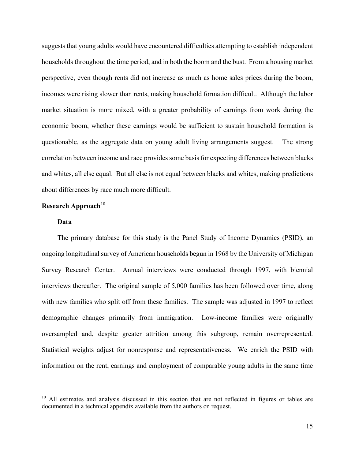suggests that young adults would have encountered difficulties attempting to establish independent households throughout the time period, and in both the boom and the bust. From a housing market perspective, even though rents did not increase as much as home sales prices during the boom, incomes were rising slower than rents, making household formation difficult. Although the labor market situation is more mixed, with a greater probability of earnings from work during the economic boom, whether these earnings would be sufficient to sustain household formation is questionable, as the aggregate data on young adult living arrangements suggest. The strong correlation between income and race provides some basis for expecting differences between blacks and whites, all else equal. But all else is not equal between blacks and whites, making predictions about differences by race much more difficult.

### **Research Approach**<sup>10</sup>

### **Data**

 $\overline{a}$ 

The primary database for this study is the Panel Study of Income Dynamics (PSID), an ongoing longitudinal survey of American households begun in 1968 by the University of Michigan Survey Research Center. Annual interviews were conducted through 1997, with biennial interviews thereafter. The original sample of 5,000 families has been followed over time, along with new families who split off from these families. The sample was adjusted in 1997 to reflect demographic changes primarily from immigration. Low-income families were originally oversampled and, despite greater attrition among this subgroup, remain overrepresented. Statistical weights adjust for nonresponse and representativeness. We enrich the PSID with information on the rent, earnings and employment of comparable young adults in the same time

<sup>&</sup>lt;sup>10</sup> All estimates and analysis discussed in this section that are not reflected in figures or tables are documented in a technical appendix available from the authors on request.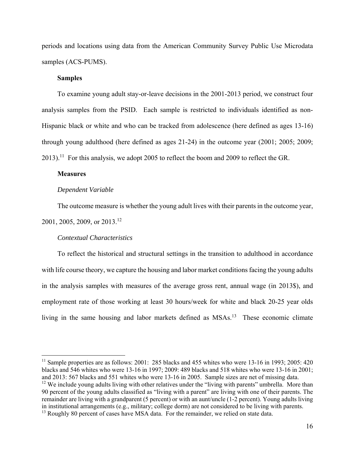periods and locations using data from the American Community Survey Public Use Microdata samples (ACS-PUMS).

### **Samples**

To examine young adult stay-or-leave decisions in the 2001-2013 period, we construct four analysis samples from the PSID. Each sample is restricted to individuals identified as non-Hispanic black or white and who can be tracked from adolescence (here defined as ages 13-16) through young adulthood (here defined as ages 21-24) in the outcome year (2001; 2005; 2009;  $2013$ .<sup>11</sup> For this analysis, we adopt 2005 to reflect the boom and 2009 to reflect the GR.

### **Measures**

 $\overline{a}$ 

#### *Dependent Variable*

The outcome measure is whether the young adult lives with their parents in the outcome year,

2001, 2005, 2009, or 2013.12

### *Contextual Characteristics*

 To reflect the historical and structural settings in the transition to adulthood in accordance with life course theory, we capture the housing and labor market conditions facing the young adults in the analysis samples with measures of the average gross rent, annual wage (in 2013\$), and employment rate of those working at least 30 hours/week for white and black 20-25 year olds living in the same housing and labor markets defined as MSAs.<sup>13</sup> These economic climate

<sup>&</sup>lt;sup>11</sup> Sample properties are as follows: 2001: 285 blacks and 455 whites who were 13-16 in 1993; 2005: 420 blacks and 546 whites who were 13-16 in 1997; 2009: 489 blacks and 518 whites who were 13-16 in 2001; and 2013: 567 blacks and 551 whites who were 13-16 in 2005. Sample sizes are net of missing data.

<sup>&</sup>lt;sup>12</sup> We include young adults living with other relatives under the "living with parents" umbrella. More than 90 percent of the young adults classified as "living with a parent" are living with one of their parents. The remainder are living with a grandparent (5 percent) or with an aunt/uncle (1-2 percent). Young adults living in institutional arrangements (e.g., military; college dorm) are not considered to be living with parents.

<sup>&</sup>lt;sup>13</sup> Roughly 80 percent of cases have MSA data. For the remainder, we relied on state data.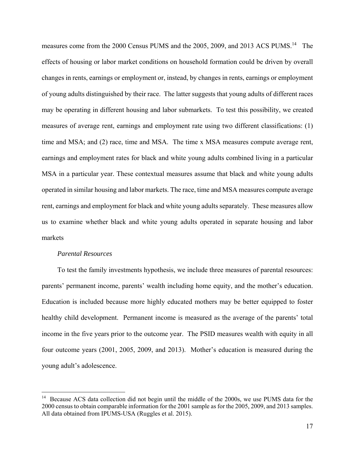measures come from the 2000 Census PUMS and the 2005, 2009, and 2013 ACS PUMS.<sup>14</sup> The effects of housing or labor market conditions on household formation could be driven by overall changes in rents, earnings or employment or, instead, by changes in rents, earnings or employment of young adults distinguished by their race. The latter suggests that young adults of different races may be operating in different housing and labor submarkets. To test this possibility, we created measures of average rent, earnings and employment rate using two different classifications: (1) time and MSA; and (2) race, time and MSA. The time x MSA measures compute average rent, earnings and employment rates for black and white young adults combined living in a particular MSA in a particular year. These contextual measures assume that black and white young adults operated in similar housing and labor markets. The race, time and MSA measures compute average rent, earnings and employment for black and white young adults separately. These measures allow us to examine whether black and white young adults operated in separate housing and labor markets

### *Parental Resources*

1

 To test the family investments hypothesis, we include three measures of parental resources: parents' permanent income, parents' wealth including home equity, and the mother's education. Education is included because more highly educated mothers may be better equipped to foster healthy child development. Permanent income is measured as the average of the parents' total income in the five years prior to the outcome year. The PSID measures wealth with equity in all four outcome years (2001, 2005, 2009, and 2013). Mother's education is measured during the young adult's adolescence.

<sup>&</sup>lt;sup>14</sup> Because ACS data collection did not begin until the middle of the 2000s, we use PUMS data for the 2000 census to obtain comparable information for the 2001 sample as for the 2005, 2009, and 2013 samples. All data obtained from IPUMS-USA (Ruggles et al. 2015).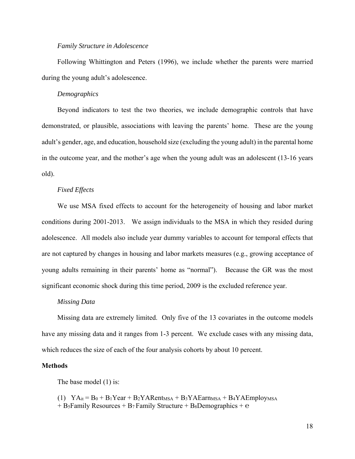#### *Family Structure in Adolescence*

 Following Whittington and Peters (1996), we include whether the parents were married during the young adult's adolescence.

#### *Demographics*

 Beyond indicators to test the two theories, we include demographic controls that have demonstrated, or plausible, associations with leaving the parents' home. These are the young adult's gender, age, and education, household size (excluding the young adult) in the parental home in the outcome year, and the mother's age when the young adult was an adolescent (13-16 years old).

#### *Fixed Effects*

 We use MSA fixed effects to account for the heterogeneity of housing and labor market conditions during 2001-2013. We assign individuals to the MSA in which they resided during adolescence. All models also include year dummy variables to account for temporal effects that are not captured by changes in housing and labor markets measures (e.g., growing acceptance of young adults remaining in their parents' home as "normal"). Because the GR was the most significant economic shock during this time period, 2009 is the excluded reference year.

#### *Missing Data*

 Missing data are extremely limited. Only five of the 13 covariates in the outcome models have any missing data and it ranges from 1-3 percent. We exclude cases with any missing data, which reduces the size of each of the four analysis cohorts by about 10 percent.

#### **Methods**

The base model (1) is:

(1)  $YA_{it} = B_0 + B_1Year + B_2YARent_{MSA} + B_3YAEarn_{MSA} + B_4YAEmploy_{MSA}$  $+$  B<sub>5</sub>Family Resources  $+$  B<sub>7</sub>Family Structure  $+$  B<sub>8</sub>Demographics  $+$  e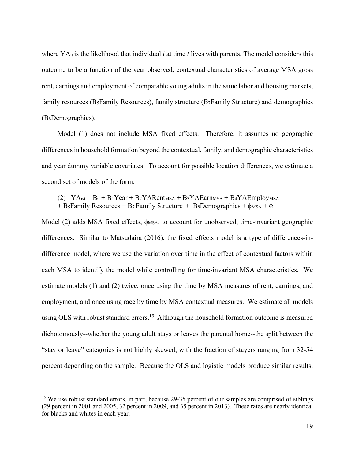where YA<sub>it</sub> is the likelihood that individual *i* at time *t* lives with parents. The model considers this outcome to be a function of the year observed, contextual characteristics of average MSA gross rent, earnings and employment of comparable young adults in the same labor and housing markets, family resources (B5Family Resources), family structure (B7Family Structure) and demographics (B8Demographics).

 Model (1) does not include MSA fixed effects. Therefore, it assumes no geographic differences in household formation beyond the contextual, family, and demographic characteristics and year dummy variable covariates. To account for possible location differences, we estimate a second set of models of the form:

(2)  $YA_{ist} = B_0 + B_1Year + B_2YARent_{MSA} + B_3YAEarn_{MSA} + B_4YAEmploy_{MSA}$ + B<sub>5</sub>Family Resources + B<sub>7</sub> Family Structure + B<sub>8</sub>Demographics +  $\phi$ <sub>MSA</sub> +  $\theta$ 

Model (2) adds MSA fixed effects, φ<sub>MSA</sub>, to account for unobserved, time-invariant geographic differences. Similar to Matsudaira (2016), the fixed effects model is a type of differences-indifference model, where we use the variation over time in the effect of contextual factors within each MSA to identify the model while controlling for time-invariant MSA characteristics. We estimate models (1) and (2) twice, once using the time by MSA measures of rent, earnings, and employment, and once using race by time by MSA contextual measures. We estimate all models using OLS with robust standard errors.<sup>15</sup> Although the household formation outcome is measured dichotomously--whether the young adult stays or leaves the parental home--the split between the "stay or leave" categories is not highly skewed, with the fraction of stayers ranging from 32-54 percent depending on the sample. Because the OLS and logistic models produce similar results,

 $\overline{a}$ 

<sup>&</sup>lt;sup>15</sup> We use robust standard errors, in part, because 29-35 percent of our samples are comprised of siblings (29 percent in 2001 and 2005, 32 percent in 2009, and 35 percent in 2013). These rates are nearly identical for blacks and whites in each year.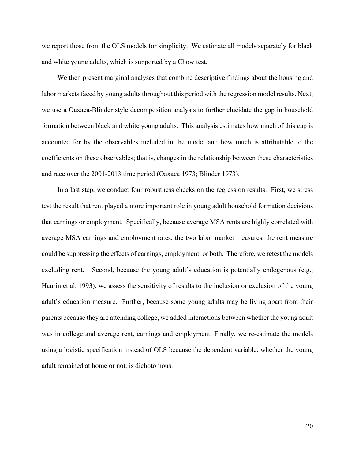we report those from the OLS models for simplicity. We estimate all models separately for black and white young adults, which is supported by a Chow test.

 We then present marginal analyses that combine descriptive findings about the housing and labor markets faced by young adults throughout this period with the regression model results. Next, we use a Oaxaca-Blinder style decomposition analysis to further elucidate the gap in household formation between black and white young adults. This analysis estimates how much of this gap is accounted for by the observables included in the model and how much is attributable to the coefficients on these observables; that is, changes in the relationship between these characteristics and race over the 2001-2013 time period (Oaxaca 1973; Blinder 1973).

 In a last step, we conduct four robustness checks on the regression results. First, we stress test the result that rent played a more important role in young adult household formation decisions that earnings or employment. Specifically, because average MSA rents are highly correlated with average MSA earnings and employment rates, the two labor market measures, the rent measure could be suppressing the effects of earnings, employment, or both. Therefore, we retest the models excluding rent. Second, because the young adult's education is potentially endogenous (e.g., Haurin et al. 1993), we assess the sensitivity of results to the inclusion or exclusion of the young adult's education measure. Further, because some young adults may be living apart from their parents because they are attending college, we added interactions between whether the young adult was in college and average rent, earnings and employment. Finally, we re-estimate the models using a logistic specification instead of OLS because the dependent variable, whether the young adult remained at home or not, is dichotomous.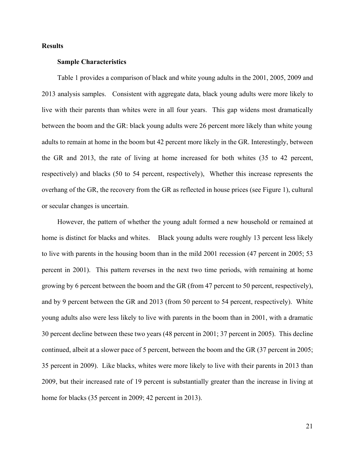### **Results**

### **Sample Characteristics**

 Table 1 provides a comparison of black and white young adults in the 2001, 2005, 2009 and 2013 analysis samples. Consistent with aggregate data, black young adults were more likely to live with their parents than whites were in all four years. This gap widens most dramatically between the boom and the GR: black young adults were 26 percent more likely than white young adults to remain at home in the boom but 42 percent more likely in the GR. Interestingly, between the GR and 2013, the rate of living at home increased for both whites (35 to 42 percent, respectively) and blacks (50 to 54 percent, respectively), Whether this increase represents the overhang of the GR, the recovery from the GR as reflected in house prices (see Figure 1), cultural or secular changes is uncertain.

 However, the pattern of whether the young adult formed a new household or remained at home is distinct for blacks and whites. Black young adults were roughly 13 percent less likely to live with parents in the housing boom than in the mild 2001 recession (47 percent in 2005; 53 percent in 2001). This pattern reverses in the next two time periods, with remaining at home growing by 6 percent between the boom and the GR (from 47 percent to 50 percent, respectively), and by 9 percent between the GR and 2013 (from 50 percent to 54 percent, respectively). White young adults also were less likely to live with parents in the boom than in 2001, with a dramatic 30 percent decline between these two years (48 percent in 2001; 37 percent in 2005). This decline continued, albeit at a slower pace of 5 percent, between the boom and the GR (37 percent in 2005; 35 percent in 2009). Like blacks, whites were more likely to live with their parents in 2013 than 2009, but their increased rate of 19 percent is substantially greater than the increase in living at home for blacks (35 percent in 2009; 42 percent in 2013).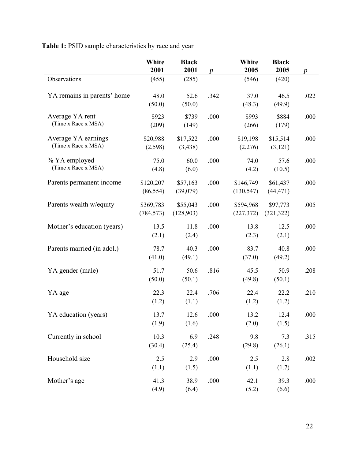| Table 1: PSID sample characteristics by race and year |  |
|-------------------------------------------------------|--|
|-------------------------------------------------------|--|

|                                            | White<br>2001           | <b>Black</b><br>2001  | $\boldsymbol{p}$ | White<br>2005           | <b>Black</b><br>2005   | $\boldsymbol{p}$ |
|--------------------------------------------|-------------------------|-----------------------|------------------|-------------------------|------------------------|------------------|
| Observations                               | (455)                   | (285)                 |                  | (546)                   | (420)                  |                  |
| YA remains in parents' home                | 48.0<br>(50.0)          | 52.6<br>(50.0)        | .342             | 37.0<br>(48.3)          | 46.5<br>(49.9)         | .022             |
| Average YA rent<br>(Time x Race x MSA)     | \$923<br>(209)          | \$739<br>(149)        | .000             | \$993<br>(266)          | \$884<br>(179)         | .000             |
| Average YA earnings<br>(Time x Race x MSA) | \$20,988<br>(2,598)     | \$17,522<br>(3, 438)  | .000             | \$19,198<br>(2,276)     | \$15,514<br>(3, 121)   | .000             |
| % YA employed<br>(Time x Race x MSA)       | 75.0<br>(4.8)           | 60.0<br>(6.0)         | .000             | 74.0<br>(4.2)           | 57.6<br>(10.5)         | .000             |
| Parents permanent income                   | \$120,207<br>(86, 554)  | \$57,163<br>(39,079)  | .000             | \$146,749<br>(130, 547) | \$61,437<br>(44, 471)  | .000             |
| Parents wealth w/equity                    | \$369,783<br>(784, 573) | \$55,043<br>(128,903) | .000             | \$594,968<br>(227,372)  | \$97,773<br>(321, 322) | .005             |
| Mother's education (years)                 | 13.5<br>(2.1)           | 11.8<br>(2.4)         | .000             | 13.8<br>(2.3)           | 12.5<br>(2.1)          | .000             |
| Parents married (in adol.)                 | 78.7<br>(41.0)          | 40.3<br>(49.1)        | .000             | 83.7<br>(37.0)          | 40.8<br>(49.2)         | .000             |
| YA gender (male)                           | 51.7<br>(50.0)          | 50.6<br>(50.1)        | .816             | 45.5<br>(49.8)          | 50.9<br>(50.1)         | .208             |
| YA age                                     | 22.3<br>(1.2)           | 22.4<br>(1.1)         | .706             | 22.4<br>(1.2)           | 22.2<br>(1.2)          | .210             |
| YA education (years)                       | 13.7<br>(1.9)           | 12.6<br>(1.6)         | .000             | 13.2<br>(2.0)           | 12.4<br>(1.5)          | .000             |
| Currently in school                        | 10.3<br>(30.4)          | 6.9<br>(25.4)         | .248             | 9.8<br>(29.8)           | 7.3<br>(26.1)          | .315             |
| Household size                             | 2.5<br>(1.1)            | 2.9<br>(1.5)          | .000             | 2.5<br>(1.1)            | 2.8<br>(1.7)           | .002             |
| Mother's age                               | 41.3<br>(4.9)           | 38.9<br>(6.4)         | .000             | 42.1<br>(5.2)           | 39.3<br>(6.6)          | .000             |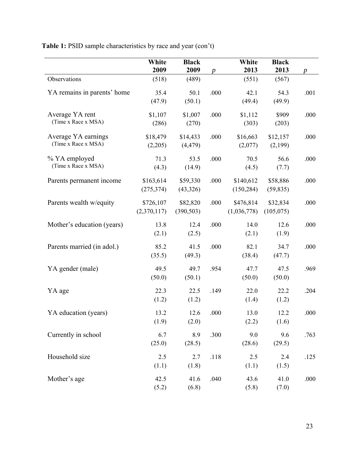**Table 1:** PSID sample characteristics by race and year (con't)

|                                            | White<br>2009            | <b>Black</b><br>2009   | $\boldsymbol{p}$ | White<br>2013            | <b>Black</b><br>2013   | $\boldsymbol{p}$ |
|--------------------------------------------|--------------------------|------------------------|------------------|--------------------------|------------------------|------------------|
| Observations                               | (518)                    | (489)                  |                  | (551)                    | (567)                  |                  |
| YA remains in parents' home                | 35.4<br>(47.9)           | 50.1<br>(50.1)         | .000             | 42.1<br>(49.4)           | 54.3<br>(49.9)         | .001             |
| Average YA rent<br>(Time x Race x MSA)     | \$1,107<br>(286)         | \$1,007<br>(270)       | .000             | \$1,112<br>(303)         | \$909<br>(203)         | .000             |
| Average YA earnings<br>(Time x Race x MSA) | \$18,479<br>(2,205)      | \$14,433<br>(4, 479)   | .000             | \$16,663<br>(2,077)      | \$12,157<br>(2,199)    | .000             |
| % YA employed<br>(Time x Race x MSA)       | 71.3<br>(4.3)            | 53.5<br>(14.9)         | .000             | 70.5<br>(4.5)            | 56.6<br>(7.7)          | .000             |
| Parents permanent income                   | \$163,614<br>(275, 374)  | \$59,330<br>(43, 326)  | .000             | \$140,612<br>(150, 284)  | \$58,886<br>(59, 835)  | .000             |
| Parents wealth w/equity                    | \$726,107<br>(2,370,117) | \$82,820<br>(390, 503) | .000             | \$476,814<br>(1,036,778) | \$32,834<br>(105, 075) | .000             |
| Mother's education (years)                 | 13.8<br>(2.1)            | 12.4<br>(2.5)          | .000             | 14.0<br>(2.1)            | 12.6<br>(1.9)          | .000             |
| Parents married (in adol.)                 | 85.2<br>(35.5)           | 41.5<br>(49.3)         | .000             | 82.1<br>(38.4)           | 34.7<br>(47.7)         | .000             |
| YA gender (male)                           | 49.5<br>(50.0)           | 49.7<br>(50.1)         | .954             | 47.7<br>(50.0)           | 47.5<br>(50.0)         | .969             |
| YA age                                     | 22.3<br>(1.2)            | 22.5<br>(1.2)          | .149             | 22.0<br>(1.4)            | 22.2<br>(1.2)          | .204             |
| YA education (years)                       | 13.2<br>(1.9)            | 12.6<br>(2.0)          | .000             | 13.0<br>(2.2)            | 12.2<br>(1.6)          | .000             |
| Currently in school                        | 6.7<br>(25.0)            | 8.9<br>(28.5)          | .300             | 9.0<br>(28.6)            | 9.6<br>(29.5)          | .763             |
| Household size                             | 2.5<br>(1.1)             | 2.7<br>(1.8)           | .118             | 2.5<br>(1.1)             | 2.4<br>(1.5)           | .125             |
| Mother's age                               | 42.5<br>(5.2)            | 41.6<br>(6.8)          | .040             | 43.6<br>(5.8)            | 41.0<br>(7.0)          | .000             |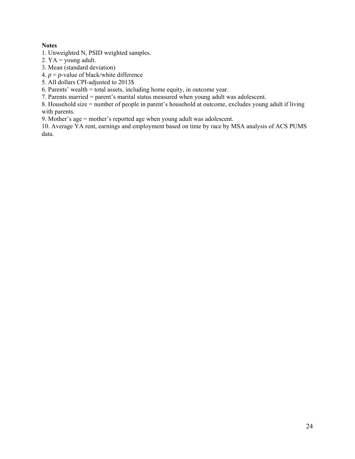# **Notes**

1. Unweighted N, PSID weighted samples.

- 2.  $YA = young adult$ .
- 3. Mean (standard deviation)
- 4.  $p = p$ -value of black/white difference
- 5. All dollars CPI-adjusted to 2013\$

6. Parents' wealth = total assets, including home equity, in outcome year.

7. Parents married = parent's marital status measured when young adult was adolescent.

8. Household size = number of people in parent's household at outcome, excludes young adult if living with parents.

9. Mother's age = mother's reported age when young adult was adolescent.

10. Average YA rent, earnings and employment based on time by race by MSA analysis of ACS PUMS data.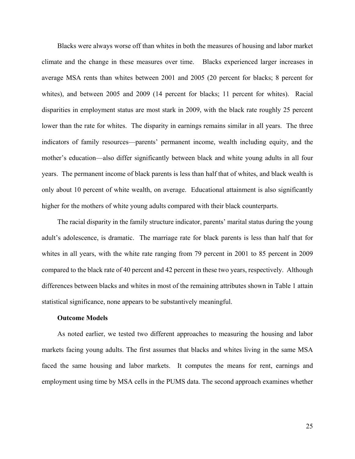Blacks were always worse off than whites in both the measures of housing and labor market climate and the change in these measures over time. Blacks experienced larger increases in average MSA rents than whites between 2001 and 2005 (20 percent for blacks; 8 percent for whites), and between 2005 and 2009 (14 percent for blacks; 11 percent for whites). Racial disparities in employment status are most stark in 2009, with the black rate roughly 25 percent lower than the rate for whites. The disparity in earnings remains similar in all years. The three indicators of family resources—parents' permanent income, wealth including equity, and the mother's education—also differ significantly between black and white young adults in all four years. The permanent income of black parents is less than half that of whites, and black wealth is only about 10 percent of white wealth, on average. Educational attainment is also significantly higher for the mothers of white young adults compared with their black counterparts.

 The racial disparity in the family structure indicator, parents' marital status during the young adult's adolescence, is dramatic. The marriage rate for black parents is less than half that for whites in all years, with the white rate ranging from 79 percent in 2001 to 85 percent in 2009 compared to the black rate of 40 percent and 42 percent in these two years, respectively. Although differences between blacks and whites in most of the remaining attributes shown in Table 1 attain statistical significance, none appears to be substantively meaningful.

### **Outcome Models**

 As noted earlier, we tested two different approaches to measuring the housing and labor markets facing young adults. The first assumes that blacks and whites living in the same MSA faced the same housing and labor markets. It computes the means for rent, earnings and employment using time by MSA cells in the PUMS data. The second approach examines whether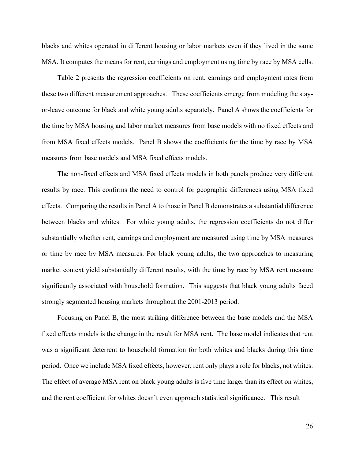blacks and whites operated in different housing or labor markets even if they lived in the same MSA. It computes the means for rent, earnings and employment using time by race by MSA cells.

 Table 2 presents the regression coefficients on rent, earnings and employment rates from these two different measurement approaches. These coefficients emerge from modeling the stayor-leave outcome for black and white young adults separately. Panel A shows the coefficients for the time by MSA housing and labor market measures from base models with no fixed effects and from MSA fixed effects models. Panel B shows the coefficients for the time by race by MSA measures from base models and MSA fixed effects models.

 The non-fixed effects and MSA fixed effects models in both panels produce very different results by race. This confirms the need to control for geographic differences using MSA fixed effects. Comparing the results in Panel A to those in Panel B demonstrates a substantial difference between blacks and whites. For white young adults, the regression coefficients do not differ substantially whether rent, earnings and employment are measured using time by MSA measures or time by race by MSA measures. For black young adults, the two approaches to measuring market context yield substantially different results, with the time by race by MSA rent measure significantly associated with household formation. This suggests that black young adults faced strongly segmented housing markets throughout the 2001-2013 period.

 Focusing on Panel B, the most striking difference between the base models and the MSA fixed effects models is the change in the result for MSA rent. The base model indicates that rent was a significant deterrent to household formation for both whites and blacks during this time period. Once we include MSA fixed effects, however, rent only plays a role for blacks, not whites. The effect of average MSA rent on black young adults is five time larger than its effect on whites, and the rent coefficient for whites doesn't even approach statistical significance. This result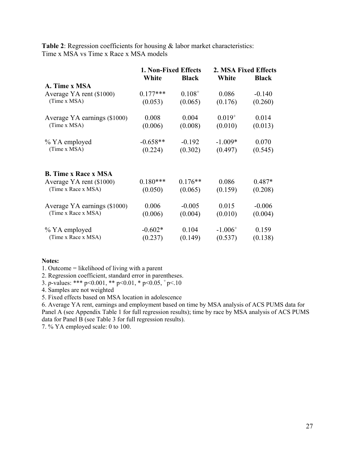**Table 2**: Regression coefficients for housing & labor market characteristics: Time x MSA vs Time x Race x MSA models

|                              | 1. Non-Fixed Effects |              |              | 2. MSA Fixed Effects |
|------------------------------|----------------------|--------------|--------------|----------------------|
|                              | White                | <b>Black</b> | White        | <b>Black</b>         |
| A. Time x MSA                |                      |              |              |                      |
| Average YA rent (\$1000)     | $0.177***$           | $0.108^{+}$  | 0.086        | $-0.140$             |
| (Time x MSA)                 | (0.053)              | (0.065)      | (0.176)      | (0.260)              |
| Average YA earnings (\$1000) | 0.008                | 0.004        | $0.019^{+}$  | 0.014                |
| (Time x MSA)                 | (0.006)              | (0.008)      | (0.010)      | (0.013)              |
| % YA employed                | $-0.658**$           | $-0.192$     | $-1.009*$    | 0.070                |
| (Time x MSA)                 | (0.224)              | (0.302)      | (0.497)      | (0.545)              |
| <b>B.</b> Time x Race x MSA  |                      |              |              |                      |
| Average YA rent (\$1000)     | $0.180***$           | $0.176**$    | 0.086        | $0.487*$             |
| (Time x Race x MSA)          | (0.050)              | (0.065)      | (0.159)      | (0.208)              |
| Average YA earnings (\$1000) | 0.006                | $-0.005$     | 0.015        | $-0.006$             |
| (Time x Race x MSA)          | (0.006)              | (0.004)      | (0.010)      | (0.004)              |
| % YA employed                | $-0.602*$            | 0.104        | $-1.006^{+}$ | 0.159                |
| (Time x Race x MSA)          | (0.237)              | (0.149)      | (0.537)      | (0.138)              |

### **Notes:**

1. Outcome = likelihood of living with a parent

2. Regression coefficient, standard error in parentheses.

3. *p*-values: \*\*\* p<0.001, \*\* p<0.01, \* p<0.05,  $p$  p<.10

4. Samples are not weighted

5. Fixed effects based on MSA location in adolescence

6. Average YA rent, earnings and employment based on time by MSA analysis of ACS PUMS data for Panel A (see Appendix Table 1 for full regression results); time by race by MSA analysis of ACS PUMS data for Panel B (see Table 3 for full regression results).

7. % YA employed scale: 0 to 100.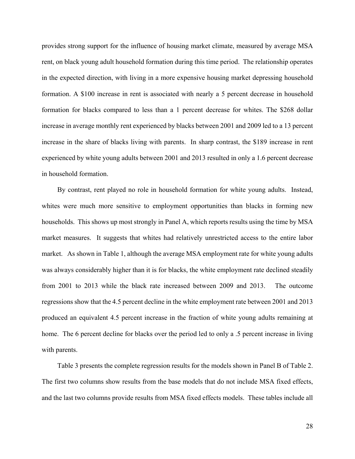provides strong support for the influence of housing market climate, measured by average MSA rent, on black young adult household formation during this time period. The relationship operates in the expected direction, with living in a more expensive housing market depressing household formation. A \$100 increase in rent is associated with nearly a 5 percent decrease in household formation for blacks compared to less than a 1 percent decrease for whites. The \$268 dollar increase in average monthly rent experienced by blacks between 2001 and 2009 led to a 13 percent increase in the share of blacks living with parents. In sharp contrast, the \$189 increase in rent experienced by white young adults between 2001 and 2013 resulted in only a 1.6 percent decrease in household formation.

 By contrast, rent played no role in household formation for white young adults. Instead, whites were much more sensitive to employment opportunities than blacks in forming new households. This shows up most strongly in Panel A, which reports results using the time by MSA market measures. It suggests that whites had relatively unrestricted access to the entire labor market. As shown in Table 1, although the average MSA employment rate for white young adults was always considerably higher than it is for blacks, the white employment rate declined steadily from 2001 to 2013 while the black rate increased between 2009 and 2013. The outcome regressions show that the 4.5 percent decline in the white employment rate between 2001 and 2013 produced an equivalent 4.5 percent increase in the fraction of white young adults remaining at home. The 6 percent decline for blacks over the period led to only a .5 percent increase in living with parents.

 Table 3 presents the complete regression results for the models shown in Panel B of Table 2. The first two columns show results from the base models that do not include MSA fixed effects, and the last two columns provide results from MSA fixed effects models. These tables include all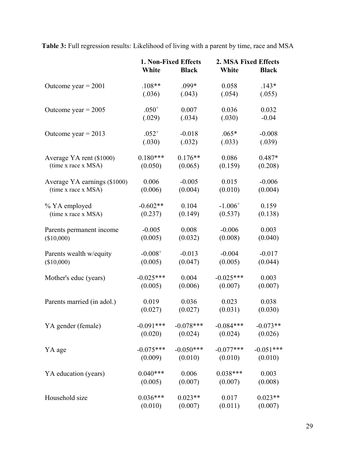**Table 3:** Full regression results: Likelihood of living with a parent by time, race and MSA

|                              | White        | 1. Non-Fixed Effects<br><b>Black</b> | 2. MSA Fixed Effects<br>White | <b>Black</b> |
|------------------------------|--------------|--------------------------------------|-------------------------------|--------------|
| Outcome year $= 2001$        | $.108**$     | $.099*$                              | 0.058                         | $.143*$      |
|                              | (.036)       | (.043)                               | (.054)                        | (.055)       |
| Outcome year = $2005$        | $.050^{+}$   | 0.007                                | 0.036                         | 0.032        |
|                              | (.029)       | (.034)                               | (.030)                        | $-0.04$      |
| Outcome year = $2013$        | $.052^{+}$   | $-0.018$                             | $.065*$                       | $-0.008$     |
|                              | (.030)       | (.032)                               | (.033)                        | (.039)       |
| Average YA rent (\$1000)     | $0.180***$   | $0.176**$                            | 0.086                         | $0.487*$     |
| (time x race x MSA)          | (0.050)      | (0.065)                              | (0.159)                       | (0.208)      |
| Average YA earnings (\$1000) | 0.006        | $-0.005$                             | 0.015                         | $-0.006$     |
| (time x race x MSA)          | (0.006)      | (0.004)                              | (0.010)                       | (0.004)      |
| % YA employed                | $-0.602**$   | 0.104                                | $-1.006$ <sup>+</sup>         | 0.159        |
| (time x race x MSA)          | (0.237)      | (0.149)                              | (0.537)                       | (0.138)      |
| Parents permanent income     | $-0.005$     | 0.008                                | $-0.006$                      | 0.003        |
| (\$10,000)                   | (0.005)      | (0.032)                              | (0.008)                       | (0.040)      |
| Parents wealth w/equity      | $-0.008^{+}$ | $-0.013$                             | $-0.004$                      | $-0.017$     |
| (\$10,000)                   | (0.005)      | (0.047)                              | (0.005)                       | (0.044)      |
| Mother's educ (years)        | $-0.025***$  | 0.004                                | $-0.025***$                   | 0.003        |
|                              | (0.005)      | (0.006)                              | (0.007)                       | (0.007)      |
| Parents married (in adol.)   | 0.019        | 0.036                                | 0.023                         | 0.038        |
|                              | (0.027)      | (0.027)                              | (0.031)                       | (0.030)      |
| YA gender (female)           | $-0.091***$  | $-0.078***$                          | $-0.084***$                   | $-0.073**$   |
|                              | (0.020)      | (0.024)                              | (0.024)                       | (0.026)      |
| YA age                       | $-0.075***$  | $-0.050***$                          | $-0.077***$                   | $-0.051***$  |
|                              | (0.009)      | (0.010)                              | (0.010)                       | (0.010)      |
| YA education (years)         | $0.040***$   | 0.006                                | $0.038***$                    | 0.003        |
|                              | (0.005)      | (0.007)                              | (0.007)                       | (0.008)      |
| Household size               | $0.036***$   | $0.023**$                            | 0.017                         | $0.023**$    |
|                              | (0.010)      | (0.007)                              | (0.011)                       | (0.007)      |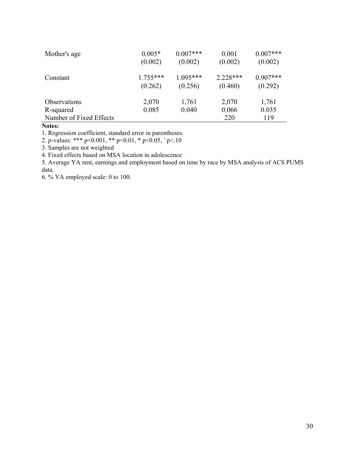| Mother's age            | $0.005*$<br>(0.002)   | $0.007***$<br>(0.002) | 0.001<br>(0.002)      | $0.007***$<br>(0.002) |
|-------------------------|-----------------------|-----------------------|-----------------------|-----------------------|
| Constant                | $1.755***$<br>(0.262) | $1.095***$<br>(0.256) | $2.228***$<br>(0.460) | $0.907***$<br>(0.292) |
| Observations            | 2,070                 | 1,761                 | 2,070                 | 1,761                 |
| R-squared               | 0.085                 | 0.040                 | 0.066                 | 0.035                 |
| Number of Fixed Effects |                       |                       | 220                   | 119                   |

# **Notes:**

1. Regression coefficient, standard error in parentheses.

2. *p*-values: \*\*\* p<0.001, \*\* p<0.01, \* p<0.05,  $p$ -values:

3. Samples are not weighted

4. Fixed effects based on MSA location in adolescence

5. Average YA rent, earnings and employment based on time by race by MSA analysis of ACS PUMS data.

6. % YA employed scale: 0 to 100.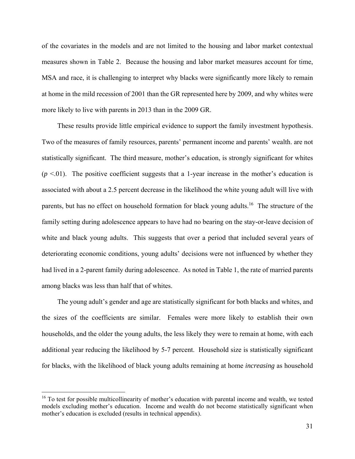of the covariates in the models and are not limited to the housing and labor market contextual measures shown in Table 2. Because the housing and labor market measures account for time, MSA and race, it is challenging to interpret why blacks were significantly more likely to remain at home in the mild recession of 2001 than the GR represented here by 2009, and why whites were more likely to live with parents in 2013 than in the 2009 GR.

 These results provide little empirical evidence to support the family investment hypothesis. Two of the measures of family resources, parents' permanent income and parents' wealth. are not statistically significant. The third measure, mother's education, is strongly significant for whites  $(p \le 0.01)$ . The positive coefficient suggests that a 1-year increase in the mother's education is associated with about a 2.5 percent decrease in the likelihood the white young adult will live with parents, but has no effect on household formation for black young adults.<sup>16</sup> The structure of the family setting during adolescence appears to have had no bearing on the stay-or-leave decision of white and black young adults. This suggests that over a period that included several years of deteriorating economic conditions, young adults' decisions were not influenced by whether they had lived in a 2-parent family during adolescence. As noted in Table 1, the rate of married parents among blacks was less than half that of whites.

 The young adult's gender and age are statistically significant for both blacks and whites, and the sizes of the coefficients are similar. Females were more likely to establish their own households, and the older the young adults, the less likely they were to remain at home, with each additional year reducing the likelihood by 5-7 percent. Household size is statistically significant for blacks, with the likelihood of black young adults remaining at home *increasing* as household

1

 $16$  To test for possible multicollinearity of mother's education with parental income and wealth, we tested models excluding mother's education. Income and wealth do not become statistically significant when mother's education is excluded (results in technical appendix).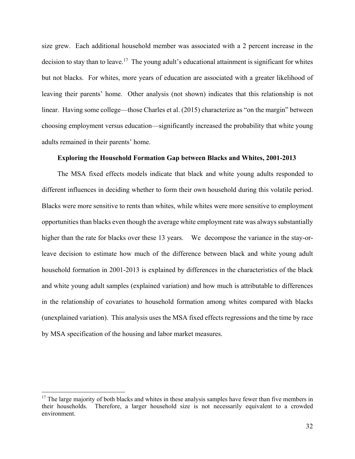size grew. Each additional household member was associated with a 2 percent increase in the decision to stay than to leave.<sup>17</sup> The young adult's educational attainment is significant for whites but not blacks. For whites, more years of education are associated with a greater likelihood of leaving their parents' home. Other analysis (not shown) indicates that this relationship is not linear. Having some college—those Charles et al. (2015) characterize as "on the margin" between choosing employment versus education—significantly increased the probability that white young adults remained in their parents' home.

### **Exploring the Household Formation Gap between Blacks and Whites, 2001-2013**

 The MSA fixed effects models indicate that black and white young adults responded to different influences in deciding whether to form their own household during this volatile period. Blacks were more sensitive to rents than whites, while whites were more sensitive to employment opportunities than blacks even though the average white employment rate was always substantially higher than the rate for blacks over these 13 years. We decompose the variance in the stay-orleave decision to estimate how much of the difference between black and white young adult household formation in 2001-2013 is explained by differences in the characteristics of the black and white young adult samples (explained variation) and how much is attributable to differences in the relationship of covariates to household formation among whites compared with blacks (unexplained variation). This analysis uses the MSA fixed effects regressions and the time by race by MSA specification of the housing and labor market measures.

 $\overline{a}$ 

 $17$  The large majority of both blacks and whites in these analysis samples have fewer than five members in their households. Therefore, a larger household size is not necessarily equivalent to a crowded environment.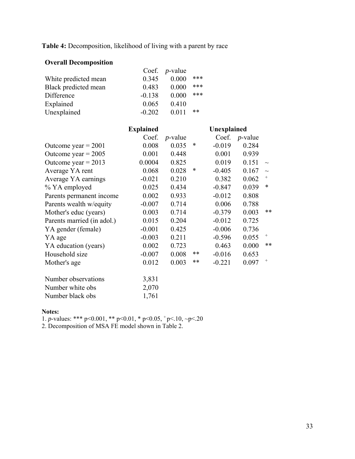**Table 4:** Decomposition, likelihood of living with a parent by race

# **Overall Decomposition**

|                      |          | Coef. $p$ -value |     |
|----------------------|----------|------------------|-----|
| White predicted mean | 0.345    | 0.000            | *** |
| Black predicted mean | 0.483    | 0.000            | *** |
| Difference           | $-0.138$ | 0.000            | *** |
| Explained            | 0.065    | 0.410            |     |
| Unexplained          | $-0.202$ | 0.011            | **  |

|                            | <b>Explained</b> |            | Unexplained |          |                 |                                  |
|----------------------------|------------------|------------|-------------|----------|-----------------|----------------------------------|
|                            | Coef.            | $p$ -value |             | Coef.    | <i>p</i> -value |                                  |
| Outcome year $= 2001$      | 0.008            | 0.035      | ∗           | $-0.019$ | 0.284           |                                  |
| Outcome year = $2005$      | 0.001            | 0.448      |             | 0.001    | 0.939           |                                  |
| Outcome year = $2013$      | 0.0004           | 0.825      |             | 0.019    | 0.151           | $\sim$                           |
| Average YA rent            | 0.068            | 0.028      | ∗           | $-0.405$ | 0.167           | $\sim$                           |
| Average YA earnings        | $-0.021$         | 0.210      |             | 0.382    | 0.062           | $\! + \!\!\!\!$                  |
| % YA employed              | 0.025            | 0.434      |             | $-0.847$ | 0.039           | *                                |
| Parents permanent income   | 0.002            | 0.933      |             | $-0.012$ | 0.808           |                                  |
| Parents wealth w/equity    | $-0.007$         | 0.714      |             | 0.006    | 0.788           |                                  |
| Mother's educ (years)      | 0.003            | 0.714      |             | $-0.379$ | 0.003           | $**$                             |
| Parents married (in adol.) | 0.015            | 0.204      |             | $-0.012$ | 0.725           |                                  |
| YA gender (female)         | $-0.001$         | 0.425      |             | $-0.006$ | 0.736           |                                  |
| YA age                     | $-0.003$         | 0.211      |             | $-0.596$ | 0.055           | $\qquad \qquad +$                |
| YA education (years)       | 0.002            | 0.723      |             | 0.463    | 0.000           | $**$                             |
| Household size             | $-0.007$         | 0.008      | **          | $-0.016$ | 0.653           |                                  |
| Mother's age               | 0.012            | 0.003      | $***$       | $-0.221$ | 0.097           | $\begin{array}{c} + \end{array}$ |
| Number observations        | 3,831            |            |             |          |                 |                                  |
| Number white obs           | 2,070            |            |             |          |                 |                                  |
| Number black obs           | 1,761            |            |             |          |                 |                                  |

### **Notes:**

1. *p*-values: \*\*\* p<0.001, \*\* p<0.01, \* p<0.05,  $^+$  p<.10, ~p<.20

2. Decomposition of MSA FE model shown in Table 2.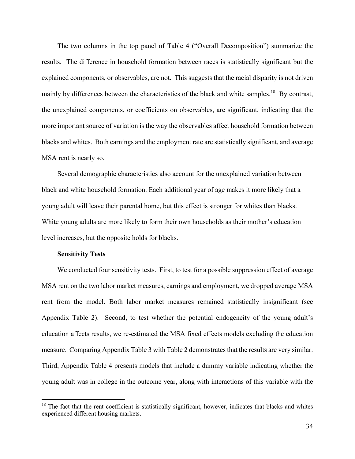The two columns in the top panel of Table 4 ("Overall Decomposition") summarize the results. The difference in household formation between races is statistically significant but the explained components, or observables, are not. This suggests that the racial disparity is not driven mainly by differences between the characteristics of the black and white samples.<sup>18</sup> By contrast, the unexplained components, or coefficients on observables, are significant, indicating that the more important source of variation is the way the observables affect household formation between blacks and whites. Both earnings and the employment rate are statistically significant, and average MSA rent is nearly so.

 Several demographic characteristics also account for the unexplained variation between black and white household formation. Each additional year of age makes it more likely that a young adult will leave their parental home, but this effect is stronger for whites than blacks. White young adults are more likely to form their own households as their mother's education level increases, but the opposite holds for blacks.

#### **Sensitivity Tests**

 $\overline{a}$ 

 We conducted four sensitivity tests. First, to test for a possible suppression effect of average MSA rent on the two labor market measures, earnings and employment, we dropped average MSA rent from the model. Both labor market measures remained statistically insignificant (see Appendix Table 2). Second, to test whether the potential endogeneity of the young adult's education affects results, we re-estimated the MSA fixed effects models excluding the education measure. Comparing Appendix Table 3 with Table 2 demonstrates that the results are very similar. Third, Appendix Table 4 presents models that include a dummy variable indicating whether the young adult was in college in the outcome year, along with interactions of this variable with the

 $18$  The fact that the rent coefficient is statistically significant, however, indicates that blacks and whites experienced different housing markets.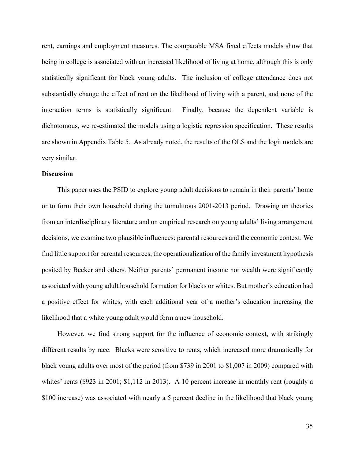rent, earnings and employment measures. The comparable MSA fixed effects models show that being in college is associated with an increased likelihood of living at home, although this is only statistically significant for black young adults. The inclusion of college attendance does not substantially change the effect of rent on the likelihood of living with a parent, and none of the interaction terms is statistically significant. Finally, because the dependent variable is dichotomous, we re-estimated the models using a logistic regression specification. These results are shown in Appendix Table 5. As already noted, the results of the OLS and the logit models are very similar.

# **Discussion**

 This paper uses the PSID to explore young adult decisions to remain in their parents' home or to form their own household during the tumultuous 2001-2013 period. Drawing on theories from an interdisciplinary literature and on empirical research on young adults' living arrangement decisions, we examine two plausible influences: parental resources and the economic context. We find little support for parental resources, the operationalization of the family investment hypothesis posited by Becker and others. Neither parents' permanent income nor wealth were significantly associated with young adult household formation for blacks or whites. But mother's education had a positive effect for whites, with each additional year of a mother's education increasing the likelihood that a white young adult would form a new household.

 However, we find strong support for the influence of economic context, with strikingly different results by race. Blacks were sensitive to rents, which increased more dramatically for black young adults over most of the period (from \$739 in 2001 to \$1,007 in 2009) compared with whites' rents (\$923 in 2001; \$1,112 in 2013). A 10 percent increase in monthly rent (roughly a \$100 increase) was associated with nearly a 5 percent decline in the likelihood that black young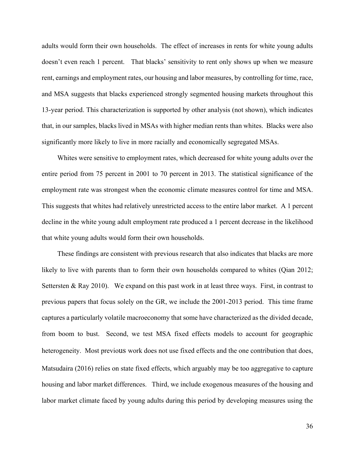adults would form their own households. The effect of increases in rents for white young adults doesn't even reach 1 percent. That blacks' sensitivity to rent only shows up when we measure rent, earnings and employment rates, our housing and labor measures, by controlling for time, race, and MSA suggests that blacks experienced strongly segmented housing markets throughout this 13-year period. This characterization is supported by other analysis (not shown), which indicates that, in our samples, blacks lived in MSAs with higher median rents than whites. Blacks were also significantly more likely to live in more racially and economically segregated MSAs.

 Whites were sensitive to employment rates, which decreased for white young adults over the entire period from 75 percent in 2001 to 70 percent in 2013. The statistical significance of the employment rate was strongest when the economic climate measures control for time and MSA. This suggests that whites had relatively unrestricted access to the entire labor market. A 1 percent decline in the white young adult employment rate produced a 1 percent decrease in the likelihood that white young adults would form their own households.

 These findings are consistent with previous research that also indicates that blacks are more likely to live with parents than to form their own households compared to whites (Qian 2012; Settersten & Ray 2010). We expand on this past work in at least three ways. First, in contrast to previous papers that focus solely on the GR, we include the 2001-2013 period. This time frame captures a particularly volatile macroeconomy that some have characterized as the divided decade, from boom to bust. Second, we test MSA fixed effects models to account for geographic heterogeneity. Most previous work does not use fixed effects and the one contribution that does, Matsudaira (2016) relies on state fixed effects, which arguably may be too aggregative to capture housing and labor market differences. Third, we include exogenous measures of the housing and labor market climate faced by young adults during this period by developing measures using the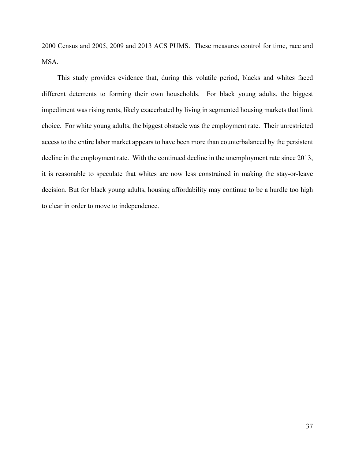2000 Census and 2005, 2009 and 2013 ACS PUMS. These measures control for time, race and MSA.

 This study provides evidence that, during this volatile period, blacks and whites faced different deterrents to forming their own households. For black young adults, the biggest impediment was rising rents, likely exacerbated by living in segmented housing markets that limit choice. For white young adults, the biggest obstacle was the employment rate. Their unrestricted access to the entire labor market appears to have been more than counterbalanced by the persistent decline in the employment rate. With the continued decline in the unemployment rate since 2013, it is reasonable to speculate that whites are now less constrained in making the stay-or-leave decision. But for black young adults, housing affordability may continue to be a hurdle too high to clear in order to move to independence.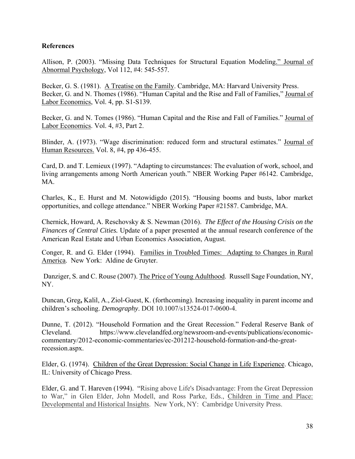# **References**

Allison, P. (2003). "Missing Data Techniques for Structural Equation Modeling." Journal of Abnormal Psychology, Vol 112, #4: 545-557.

Becker, G. S. (1981). A Treatise on the Family. Cambridge, MA: Harvard University Press. Becker, G. and N. Thomes (1986). "Human Capital and the Rise and Fall of Families," Journal of Labor Economics, Vol. 4, pp. S1-S139.

Becker, G. and N. Tomes (1986). "Human Capital and the Rise and Fall of Families." Journal of Labor Economics. Vol. 4, #3, Part 2.

Blinder, A. (1973). "Wage discrimination: reduced form and structural estimates." Journal of Human Resources. Vol. 8, #4, pp 436-455.

Card, D. and T. Lemieux (1997). "Adapting to circumstances: The evaluation of work, school, and living arrangements among North American youth." NBER Working Paper #6142. Cambridge, MA.

Charles, K., E. Hurst and M. Notowidigdo (2015). "Housing booms and busts, labor market opportunities, and college attendance." NBER Working Paper #21587. Cambridge, MA.

Chernick, Howard, A. Reschovsky & S. Newman (2016). *The Effect of the Housing Crisis on the Finances of Central Cities.* Update of a paper presented at the annual research conference of the American Real Estate and Urban Economics Association, August.

Conger, R. and G. Elder (1994). Families in Troubled Times: Adapting to Changes in Rural America. New York: Aldine de Gruyter.

 Danziger, S. and C. Rouse (2007). The Price of Young Adulthood. Russell Sage Foundation, NY, NY.

Duncan, Greg**,** Kalil, A., Ziol-Guest, K. (forthcoming). Increasing inequality in parent income and children's schooling. *Demography*. DOI 10.1007/s13524-017-0600-4.

Dunne, T. (2012). "Household Formation and the Great Recession." Federal Reserve Bank of Cleveland. https://www.clevelandfed.org/newsroom-and-events/publications/economiccommentary/2012-economic-commentaries/ec-201212-household-formation-and-the-greatrecession.aspx.

Elder, G. (1974). Children of the Great Depression: Social Change in Life Experience. Chicago, IL: University of Chicago Press.

Elder, G. and T. Hareven (1994). "Rising above Life's Disadvantage: From the Great Depression to War," in Glen Elder, John Modell, and Ross Parke, Eds., Children in Time and Place: Developmental and Historical Insights. New York, NY: Cambridge University Press.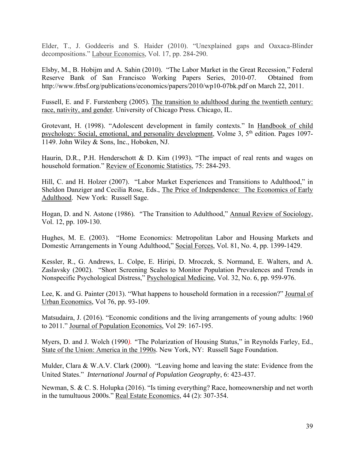Elder, T., J. Goddeeris and S. Haider (2010). "Unexplained gaps and Oaxaca-Blinder decompositions." Labour Economics, Vol. 17, pp. 284-290.

Elsby, M., B. Hobijm and A. Sahin (2010). "The Labor Market in the Great Recession," Federal Reserve Bank of San Francisco Working Papers Series, 2010-07. Obtained from http://www.frbsf.org/publications/economics/papers/2010/wp10-07bk.pdf on March 22, 2011.

Fussell, E. and F. Furstenberg (2005). The transition to adulthood during the twentieth century: race, nativity, and gender. University of Chicago Press. Chicago, IL.

Grotevant, H. (1998). "Adolescent development in family contexts." In Handbook of child psychology: Social, emotional, and personality development, Volme 3, 5<sup>th</sup> edition. Pages 1097-1149. John Wiley & Sons, Inc., Hoboken, NJ.

Haurin, D.R., P.H. Henderschott & D. Kim (1993). "The impact of real rents and wages on household formation." Review of Economic Statistics, 75: 284-293.

Hill, C. and H. Holzer (2007). "Labor Market Experiences and Transitions to Adulthood," in Sheldon Danziger and Cecilia Rose, Eds., The Price of Independence: The Economics of Early Adulthood. New York: Russell Sage.

Hogan, D. and N. Astone (1986)*. "*The Transition to Adulthood," Annual Review of Sociology, Vol. 12, pp. 109-130.

Hughes, M. E. (2003). "Home Economics: Metropolitan Labor and Housing Markets and Domestic Arrangements in Young Adulthood," Social Forces, Vol. 81, No. 4, pp. 1399-1429.

Kessler, R., G. Andrews, L. Colpe, E. Hiripi, D. Mroczek, S. Normand, E. Walters, and A. Zaslavsky (2002). "Short Screening Scales to Monitor Population Prevalences and Trends in Nonspecific Psychological Distress," Psychological Medicine, Vol. 32, No. 6, pp. 959-976.

Lee, K. and G. Painter (2013). "What happens to household formation in a recession?" Journal of Urban Economics, Vol 76, pp. 93-109.

Matsudaira, J. (2016). "Economic conditions and the living arrangements of young adults: 1960 to 2011." Journal of Population Economics, Vol 29: 167-195.

Myers, D. and J. Wolch (1990*). "*The Polarization of Housing Status," in Reynolds Farley, Ed., State of the Union: America in the 1990s. New York, NY: Russell Sage Foundation.

Mulder, Clara & W.A.V. Clark (2000). "Leaving home and leaving the state: Evidence from the United States." *International Journal of Population Geography*, 6: 423-437.

Newman, S. & C. S. Holupka (2016). "Is timing everything? Race, homeownership and net worth in the tumultuous 2000s." Real Estate Economics, 44 (2): 307-354.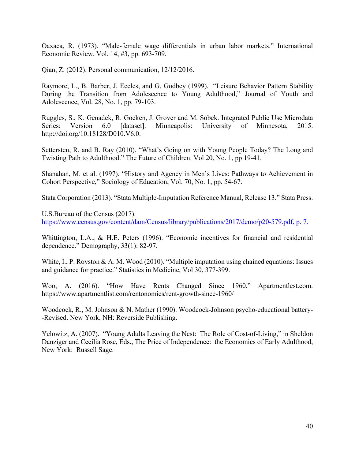Oaxaca, R. (1973). "Male-female wage differentials in urban labor markets." International Economic Review. Vol. 14, #3, pp. 693-709.

Qian, Z. (2012). Personal communication, 12/12/2016.

Raymore, L., B. Barber, J. Eccles, and G. Godbey (1999). "Leisure Behavior Pattern Stability During the Transition from Adolescence to Young Adulthood," Journal of Youth and Adolescence, Vol. 28, No. 1, pp. 79-103.

Ruggles, S., K. Genadek, R. Goeken, J. Grover and M. Sobek. Integrated Public Use Microdata Series: Version 6.0 [dataset]. Minneapolis: University of Minnesota, 2015. http://doi.org/10.18128/D010.V6.0.

Settersten, R. and B. Ray (2010). "What's Going on with Young People Today? The Long and Twisting Path to Adulthood." The Future of Children. Vol 20, No. 1, pp 19-41.

Shanahan, M. et al. (1997). "History and Agency in Men's Lives: Pathways to Achievement in Cohort Perspective," Sociology of Education, Vol. 70, No. 1, pp. 54-67.

Stata Corporation (2013). "Stata Multiple-Imputation Reference Manual, Release 13." Stata Press.

U.S.Bureau of the Census (2017). https://www.census.gov/content/dam/Census/library/publications/2017/demo/p20-579.pdf, p. 7.

Whittington, L.A., & H.E. Peters (1996). "Economic incentives for financial and residential dependence." Demography, 33(1): 82-97.

White, I., P. Royston & A. M. Wood (2010). "Multiple imputation using chained equations: Issues and guidance for practice." Statistics in Medicine, Vol 30, 377-399.

Woo, A. (2016). "How Have Rents Changed Since 1960." Apartmentlest.com. https://www.apartmentlist.com/rentonomics/rent-growth-since-1960/

Woodcock, R., M. Johnson & N. Mather (1990). Woodcock-Johnson psycho-educational battery- -Revised. New York, NH: Reverside Publishing.

Yelowitz, A. (2007). "Young Adults Leaving the Nest: The Role of Cost-of-Living," in Sheldon Danziger and Cecilia Rose, Eds., The Price of Independence: the Economics of Early Adulthood, New York: Russell Sage.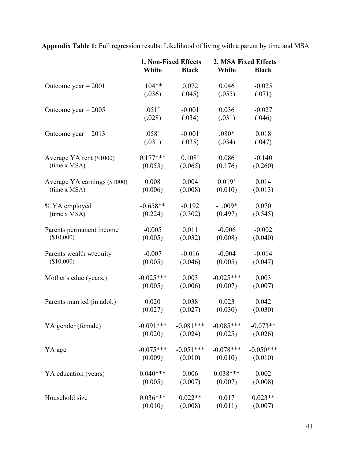**Appendix Table 1:** Full regression results: Likelihood of living with a parent by time and MSA

|                              |             | 1. Non-Fixed Effects |             | 2. MSA Fixed Effects |
|------------------------------|-------------|----------------------|-------------|----------------------|
|                              | White       | <b>Black</b>         | White       | <b>Black</b>         |
| Outcome year = $2001$        | $.104**$    | 0.072                | 0.046       | $-0.025$             |
|                              | (.036)      | (.045)               | (.055)      | (.071)               |
| Outcome year = $2005$        | $.051^{+}$  | $-0.001$             | 0.036       | $-0.027$             |
|                              | (.028)      | (.034)               | (.031)      | (.046)               |
| Outcome year = $2013$        | $.058^{+}$  | $-0.001$             | $.080*$     | 0.018                |
|                              | (.031)      | (.035)               | (.034)      | (.047)               |
| Average YA rent (\$1000)     | $0.177***$  | $0.108^{+}$          | 0.086       | $-0.140$             |
| (time x MSA)                 | (0.053)     | (0.065)              | (0.176)     | (0.260)              |
| Average YA earnings (\$1000) | 0.008       | 0.004                | $0.019^{+}$ | 0.014                |
| (time x MSA)                 | (0.006)     | (0.008)              | (0.010)     | (0.013)              |
| % YA employed                | $-0.658**$  | $-0.192$             | $-1.009*$   | 0.070                |
| (time x MSA)                 | (0.224)     | (0.302)              | (0.497)     | (0.545)              |
| Parents permanent income     | $-0.005$    | 0.011                | $-0.006$    | $-0.002$             |
| (\$10,000)                   | (0.005)     | (0.032)              | (0.008)     | (0.040)              |
| Parents wealth w/equity      | $-0.007$    | $-0.016$             | $-0.004$    | $-0.014$             |
| (\$10,000)                   | (0.005)     | (0.046)              | (0.005)     | (0.047)              |
| Mother's educ (years.)       | $-0.025***$ | 0.003                | $-0.025***$ | 0.003                |
|                              | (0.005)     | (0.006)              | (0.007)     | (0.007)              |
| Parents married (in adol.)   | 0.020       | 0.038                | 0.023       | 0.042                |
|                              | (0.027)     | (0.027)              | (0.030)     | (0.030)              |
| YA gender (female)           | $-0.091***$ | $-0.081***$          | $-0.085***$ | $-0.073**$           |
|                              | (0.020)     | (0.024)              | (0.025)     | (0.026)              |
| YA age                       | $-0.075***$ | $-0.051***$          | $-0.078***$ | $-0.050***$          |
|                              | (0.009)     | (0.010)              | (0.010)     | (0.010)              |
| YA education (years)         | $0.040***$  | 0.006                | $0.038***$  | 0.002                |
|                              | (0.005)     | (0.007)              | (0.007)     | (0.008)              |
| Household size               | $0.036***$  | $0.022**$            | 0.017       | $0.023**$            |
|                              | (0.010)     | (0.008)              | (0.011)     | (0.007)              |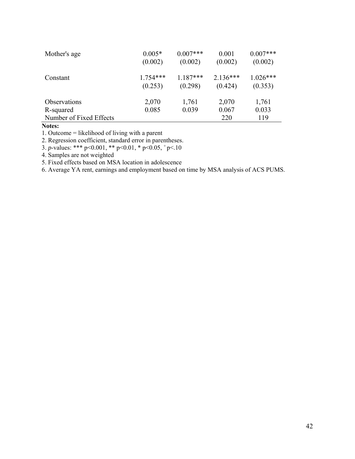| Mother's age                         | $0.005*$   | $0.007***$ | 0.001        | $0.007***$   |
|--------------------------------------|------------|------------|--------------|--------------|
|                                      | (0.002)    | (0.002)    | (0.002)      | (0.002)      |
| Constant                             | $1.754***$ | $1.187***$ | $2.136***$   | $1.026***$   |
|                                      | (0.253)    | (0.298)    | (0.424)      | (0.353)      |
| <b>Observations</b>                  | 2,070      | 1,761      | 2,070        | 1,761        |
| R-squared<br>Number of Fixed Effects | 0.085      | 0.039      | 0.067<br>220 | 0.033<br>119 |

**Notes:** 

1. Outcome = likelihood of living with a parent

2. Regression coefficient, standard error in parentheses.

3. *p*-values: \*\*\* p<0.001, \*\* p<0.01, \* p<0.05, + p<.10

4. Samples are not weighted

5. Fixed effects based on MSA location in adolescence

6. Average YA rent, earnings and employment based on time by MSA analysis of ACS PUMS.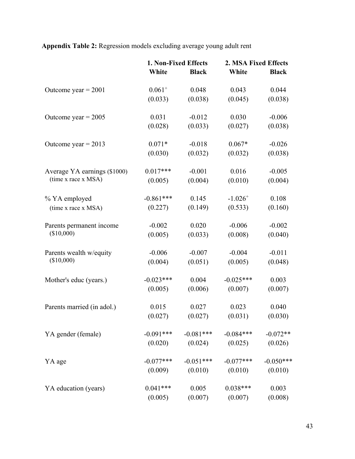**Appendix Table 2:** Regression models excluding average young adult rent

|                              | 1. Non-Fixed Effects |              | 2. MSA Fixed Effects  |              |
|------------------------------|----------------------|--------------|-----------------------|--------------|
|                              | White                | <b>Black</b> | White                 | <b>Black</b> |
| Outcome year = $2001$        | $0.061^{+}$          | 0.048        | 0.043                 | 0.044        |
|                              | (0.033)              | (0.038)      | (0.045)               | (0.038)      |
| Outcome year = $2005$        | 0.031                | $-0.012$     | 0.030                 | $-0.006$     |
|                              | (0.028)              | (0.033)      | (0.027)               | (0.038)      |
| Outcome year = $2013$        | $0.071*$             | $-0.018$     | $0.067*$              | $-0.026$     |
|                              | (0.030)              | (0.032)      | (0.032)               | (0.038)      |
| Average YA earnings (\$1000) | $0.017***$           | $-0.001$     | 0.016                 | $-0.005$     |
| (time x race x MSA)          | (0.005)              | (0.004)      | (0.010)               | (0.004)      |
| % YA employed                | $-0.861***$          | 0.145        | $-1.026$ <sup>+</sup> | 0.108        |
| (time x race x MSA)          | (0.227)              | (0.149)      | (0.533)               | (0.160)      |
| Parents permanent income     | $-0.002$             | 0.020        | $-0.006$              | $-0.002$     |
| (\$10,000)                   | (0.005)              | (0.033)      | (0.008)               | (0.040)      |
| Parents wealth w/equity      | $-0.006$             | $-0.007$     | $-0.004$              | $-0.011$     |
| (\$10,000)                   | (0.004)              | (0.051)      | (0.005)               | (0.048)      |
| Mother's educ (years.)       | $-0.023***$          | 0.004        | $-0.025***$           | 0.003        |
|                              | (0.005)              | (0.006)      | (0.007)               | (0.007)      |
| Parents married (in adol.)   | 0.015                | 0.027        | 0.023                 | 0.040        |
|                              | (0.027)              | (0.027)      | (0.031)               | (0.030)      |
| YA gender (female)           | $-0.091***$          | $-0.081***$  | $-0.084***$           | $-0.072**$   |
|                              | (0.020)              | (0.024)      | (0.025)               | (0.026)      |
| YA age                       | $-0.077***$          | $-0.051***$  | $-0.077***$           | $-0.050***$  |
|                              | (0.009)              | (0.010)      | (0.010)               | (0.010)      |
| YA education (years)         | $0.041***$           | 0.005        | $0.038***$            | 0.003        |
|                              | (0.005)              | (0.007)      | (0.007)               | (0.008)      |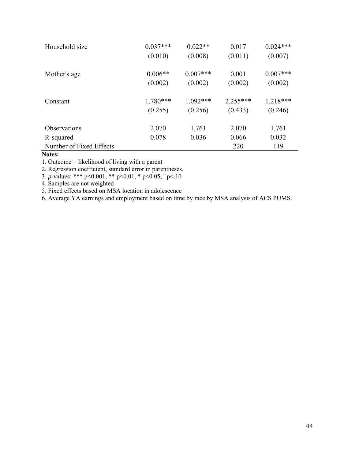| Household size          | $0.037***$ | $0.022**$  | 0.017      | $0.024***$ |
|-------------------------|------------|------------|------------|------------|
|                         | (0.010)    | (0.008)    | (0.011)    | (0.007)    |
| Mother's age            | $0.006**$  | $0.007***$ | 0.001      | $0.007***$ |
|                         | (0.002)    | (0.002)    | (0.002)    | (0.002)    |
| Constant                | $1.780***$ | $1.092***$ | $2.255***$ | $1.218***$ |
|                         | (0.255)    | (0.256)    | (0.433)    | (0.246)    |
| <b>Observations</b>     | 2,070      | 1,761      | 2,070      | 1,761      |
| R-squared               | 0.078      | 0.036      | 0.066      | 0.032      |
| Number of Fixed Effects |            |            | 220        | 119        |

# **Notes:**

1. Outcome = likelihood of living with a parent

2. Regression coefficient, standard error in parentheses.

3. *p*-values: \*\*\* p<0.001, \*\* p<0.01, \* p<0.05, + p<.10

4. Samples are not weighted

5. Fixed effects based on MSA location in adolescence

6. Average YA earnings and employment based on time by race by MSA analysis of ACS PUMS.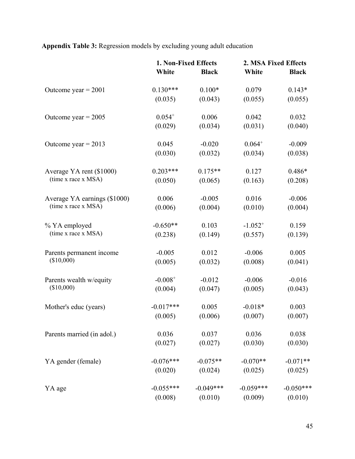**Appendix Table 3:** Regression models by excluding young adult education

|                              | 1. Non-Fixed Effects |              | 2. MSA Fixed Effects |              |
|------------------------------|----------------------|--------------|----------------------|--------------|
|                              | White                | <b>Black</b> | White                | <b>Black</b> |
| Outcome year $= 2001$        | $0.130***$           | $0.100*$     | 0.079                | $0.143*$     |
|                              | (0.035)              | (0.043)      | (0.055)              | (0.055)      |
| Outcome year = $2005$        | $0.054^{+}$          | 0.006        | 0.042                | 0.032        |
|                              | (0.029)              | (0.034)      | (0.031)              | (0.040)      |
| Outcome year = $2013$        | 0.045                | $-0.020$     | $0.064^{+}$          | $-0.009$     |
|                              | (0.030)              | (0.032)      | (0.034)              | (0.038)      |
| Average YA rent (\$1000)     | $0.203***$           | $0.175**$    | 0.127                | $0.486*$     |
| (time x race x MSA)          | (0.050)              | (0.065)      | (0.163)              | (0.208)      |
| Average YA earnings (\$1000) | 0.006                | $-0.005$     | 0.016                | $-0.006$     |
| (time x race x MSA)          | (0.006)              | (0.004)      | (0.010)              | (0.004)      |
| % YA employed                | $-0.650**$           | 0.103        | $-1.052^{+}$         | 0.159        |
| (time x race x MSA)          | (0.238)              | (0.149)      | (0.557)              | (0.139)      |
| Parents permanent income     | $-0.005$             | 0.012        | $-0.006$             | 0.005        |
| (\$10,000)                   | (0.005)              | (0.032)      | (0.008)              | (0.041)      |
| Parents wealth w/equity      | $-0.008^{+}$         | $-0.012$     | $-0.006$             | $-0.016$     |
| (\$10,000)                   | (0.004)              | (0.047)      | (0.005)              | (0.043)      |
| Mother's educ (years)        | $-0.017***$          | 0.005        | $-0.018*$            | 0.003        |
|                              | (0.005)              | (0.006)      | (0.007)              | (0.007)      |
| Parents married (in adol.)   | 0.036                | 0.037        | 0.036                | 0.038        |
|                              | (0.027)              | (0.027)      | (0.030)              | (0.030)      |
| YA gender (female)           | $-0.076***$          | $-0.075**$   | $-0.070**$           | $-0.071**$   |
|                              | (0.020)              | (0.024)      | (0.025)              | (0.025)      |
| YA age                       | $-0.055***$          | $-0.049***$  | $-0.059***$          | $-0.050***$  |
|                              | (0.008)              | (0.010)      | (0.009)              | (0.010)      |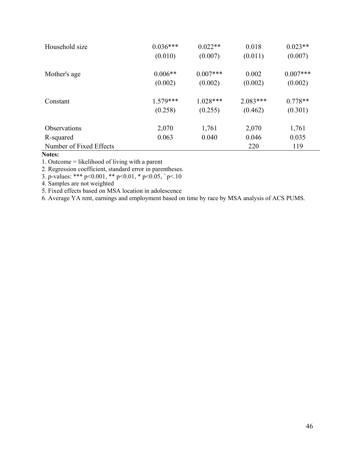| Household size          | $0.036***$<br>(0.010) | $0.022**$<br>(0.007) | 0.018<br>(0.011) | $0.023**$<br>(0.007) |
|-------------------------|-----------------------|----------------------|------------------|----------------------|
| Mother's age            | $0.006**$             | $0.007***$           | 0.002            | $0.007***$           |
|                         | (0.002)               | (0.002)              | (0.002)          | (0.002)              |
| Constant                | $1.579***$            | $1.028***$           | $2.083***$       | $0.778**$            |
|                         | (0.258)               | (0.255)              | (0.462)          | (0.301)              |
| <b>Observations</b>     | 2,070                 | 1,761                | 2,070            | 1,761                |
| R-squared               | 0.063                 | 0.040                | 0.046            | 0.035                |
| Number of Fixed Effects |                       |                      | 220              | 119                  |

# **Notes:**

1. Outcome = likelihood of living with a parent

2. Regression coefficient, standard error in parentheses.

3. *p*-values: \*\*\* p<0.001, \*\* p<0.01, \* p<0.05, + p<.10

4. Samples are not weighted

5. Fixed effects based on MSA location in adolescence

6. Average YA rent, earnings and employment based on time by race by MSA analysis of ACS PUMS.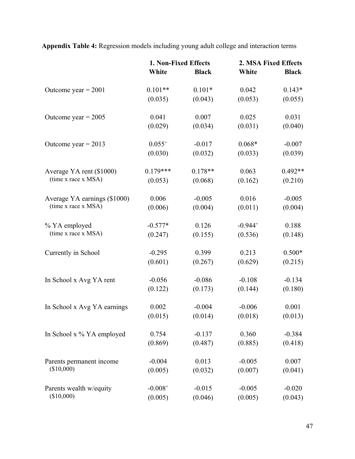**Appendix Table 4:** Regression models including young adult college and interaction terms

|                              | 1. Non-Fixed Effects |              | 2. MSA Fixed Effects |              |
|------------------------------|----------------------|--------------|----------------------|--------------|
|                              | White                | <b>Black</b> | White                | <b>Black</b> |
| Outcome year $= 2001$        | $0.101**$            | $0.101*$     | 0.042                | $0.143*$     |
|                              | (0.035)              | (0.043)      | (0.053)              | (0.055)      |
| Outcome year = $2005$        | 0.041                | 0.007        | 0.025                | 0.031        |
|                              | (0.029)              | (0.034)      | (0.031)              | (0.040)      |
| Outcome year = $2013$        | $0.055^{+}$          | $-0.017$     | $0.068*$             | $-0.007$     |
|                              | (0.030)              | (0.032)      | (0.033)              | (0.039)      |
| Average YA rent (\$1000)     | $0.179***$           | $0.178**$    | 0.063                | $0.492**$    |
| (time x race x MSA)          | (0.053)              | (0.068)      | (0.162)              | (0.210)      |
| Average YA earnings (\$1000) | 0.006                | $-0.005$     | 0.016                | $-0.005$     |
| (time x race x MSA)          | (0.006)              | (0.004)      | (0.011)              | (0.004)      |
| % YA employed                | $-0.577*$            | 0.126        | $-0.944^{+}$         | 0.188        |
| (time x race x MSA)          | (0.247)              | (0.155)      | (0.536)              | (0.148)      |
| Currently in School          | $-0.295$             | 0.399        | 0.213                | $0.500*$     |
|                              | (0.601)              | (0.267)      | (0.629)              | (0.215)      |
| In School x Avg YA rent      | $-0.056$             | $-0.086$     | $-0.108$             | $-0.134$     |
|                              | (0.122)              | (0.173)      | (0.144)              | (0.180)      |
| In School x Avg YA earnings  | 0.002                | $-0.004$     | $-0.006$             | 0.001        |
|                              | (0.015)              | (0.014)      | (0.018)              | (0.013)      |
| In School x % YA employed    | 0.754                | $-0.137$     | 0.360                | $-0.384$     |
|                              | (0.869)              | (0.487)      | (0.885)              | (0.418)      |
| Parents permanent income     | $-0.004$             | 0.013        | $-0.005$             | 0.007        |
| (\$10,000)                   | (0.005)              | (0.032)      | (0.007)              | (0.041)      |
| Parents wealth w/equity      | $-0.008^{+}$         | $-0.015$     | $-0.005$             | $-0.020$     |
| (\$10,000)                   | (0.005)              | (0.046)      | (0.005)              | (0.043)      |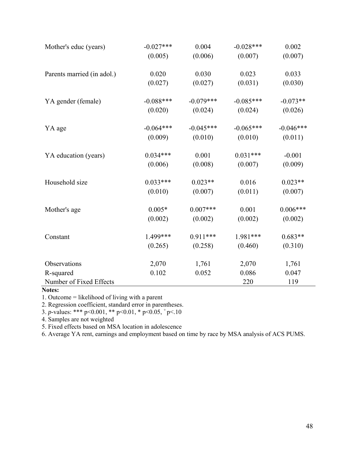| Mother's educ (years)      | $-0.027***$ | 0.004       | $-0.028***$ | 0.002       |
|----------------------------|-------------|-------------|-------------|-------------|
|                            | (0.005)     | (0.006)     | (0.007)     | (0.007)     |
| Parents married (in adol.) | 0.020       | 0.030       | 0.023       | 0.033       |
|                            | (0.027)     | (0.027)     | (0.031)     | (0.030)     |
| YA gender (female)         | $-0.088***$ | $-0.079***$ | $-0.085***$ | $-0.073**$  |
|                            | (0.020)     | (0.024)     | (0.024)     | (0.026)     |
| YA age                     | $-0.064***$ | $-0.045***$ | $-0.065***$ | $-0.046***$ |
|                            | (0.009)     | (0.010)     | (0.010)     | (0.011)     |
| YA education (years)       | $0.034***$  | 0.001       | $0.031***$  | $-0.001$    |
|                            | (0.006)     | (0.008)     | (0.007)     | (0.009)     |
| Household size             | $0.033***$  | $0.023**$   | 0.016       | $0.023**$   |
|                            | (0.010)     | (0.007)     | (0.011)     | (0.007)     |
| Mother's age               | $0.005*$    | $0.007***$  | 0.001       | $0.006***$  |
|                            | (0.002)     | (0.002)     | (0.002)     | (0.002)     |
| Constant                   | 1.499***    | $0.911***$  | 1.981***    | $0.683**$   |
|                            | (0.265)     | (0.258)     | (0.460)     | (0.310)     |
| Observations               | 2,070       | 1,761       | 2,070       | 1,761       |
| R-squared                  | 0.102       | 0.052       | 0.086       | 0.047       |
| Number of Fixed Effects    |             |             | 220         | 119         |

# **Notes:**

1. Outcome = likelihood of living with a parent

2. Regression coefficient, standard error in parentheses.

3. *p*-values: \*\*\* p<0.001, \*\* p<0.01, \* p<0.05,  $p$ -values.

4. Samples are not weighted

5. Fixed effects based on MSA location in adolescence

6. Average YA rent, earnings and employment based on time by race by MSA analysis of ACS PUMS.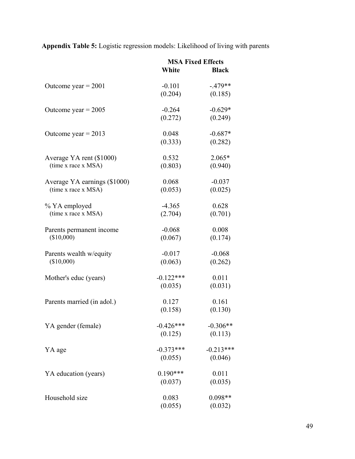**Appendix Table 5:** Logistic regression models: Likelihood of living with parents

|                              | <b>MSA Fixed Effects</b> |              |  |
|------------------------------|--------------------------|--------------|--|
|                              | White                    | <b>Black</b> |  |
| Outcome year $= 2001$        | $-0.101$                 | $-.479**$    |  |
|                              | (0.204)                  | (0.185)      |  |
| Outcome year = $2005$        | $-0.264$                 | $-0.629*$    |  |
|                              | (0.272)                  | (0.249)      |  |
| Outcome year = $2013$        | 0.048                    | $-0.687*$    |  |
|                              | (0.333)                  | (0.282)      |  |
| Average YA rent (\$1000)     | 0.532                    | $2.065*$     |  |
| (time x race x MSA)          | (0.803)                  | (0.940)      |  |
| Average YA earnings (\$1000) | 0.068                    | $-0.037$     |  |
| (time x race x MSA)          | (0.053)                  | (0.025)      |  |
| % YA employed                | $-4.365$                 | 0.628        |  |
| (time x race x MSA)          | (2.704)                  | (0.701)      |  |
| Parents permanent income     | $-0.068$                 | 0.008        |  |
| (\$10,000)                   | (0.067)                  | (0.174)      |  |
| Parents wealth w/equity      | $-0.017$                 | $-0.068$     |  |
| (\$10,000)                   | (0.063)                  | (0.262)      |  |
| Mother's educ (years)        | $-0.122***$              | 0.011        |  |
|                              | (0.035)                  | (0.031)      |  |
| Parents married (in adol.)   | 0.127                    | 0.161        |  |
|                              | (0.158)                  | (0.130)      |  |
| YA gender (female)           | $-0.426***$              | $-0.306**$   |  |
|                              | (0.125)                  | (0.113)      |  |
| YA age                       | $-0.373***$              | $-0.213***$  |  |
|                              | (0.055)                  | (0.046)      |  |
| YA education (years)         | $0.190***$               | 0.011        |  |
|                              | (0.037)                  | (0.035)      |  |
| Household size               | 0.083                    | $0.098**$    |  |
|                              | (0.055)                  | (0.032)      |  |